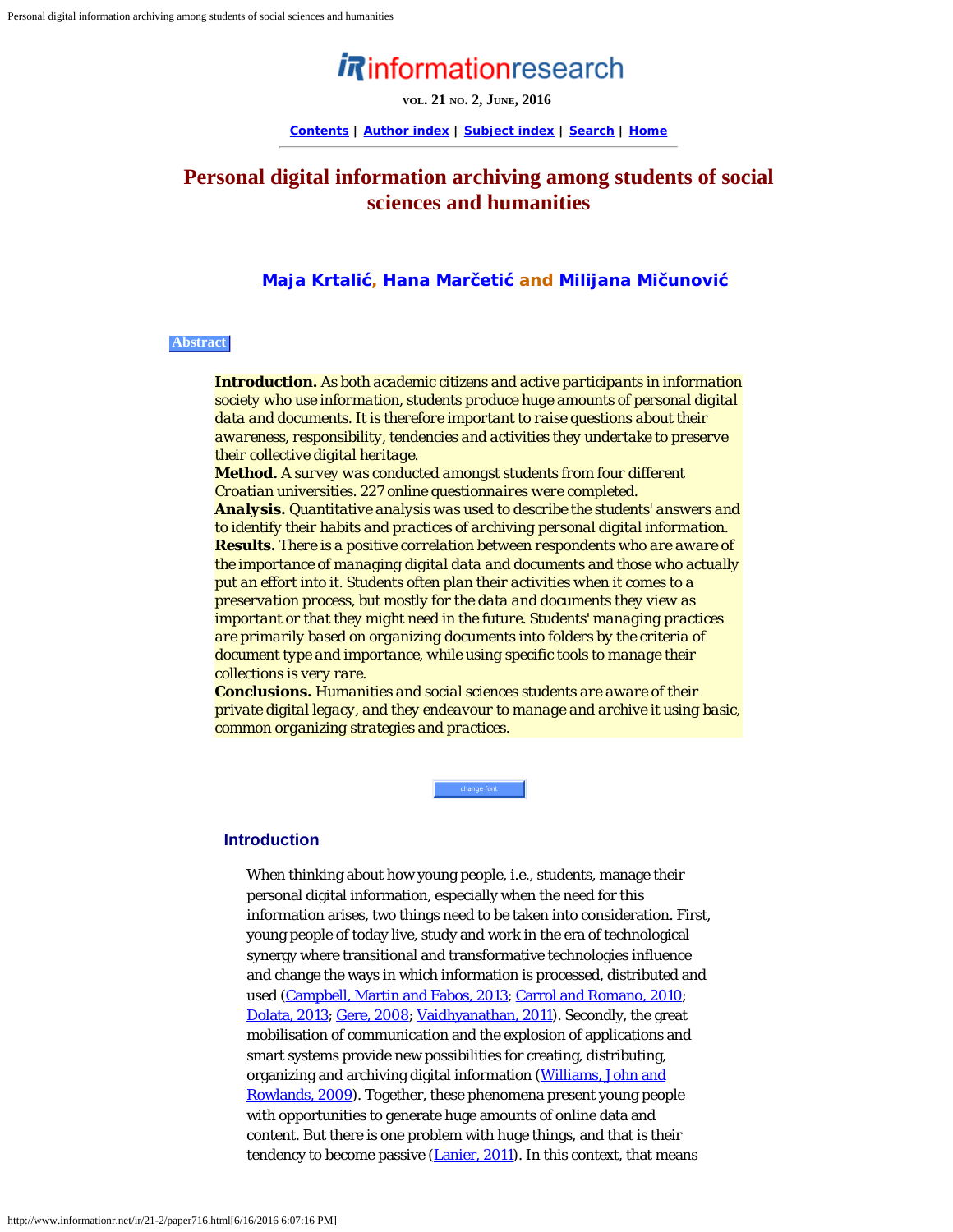# *in* information research

**VOL. 21 NO. 2, JUNE, 2016**

**[Contents](http://www.informationr.net/ir/21-2/infres212.html) | [Author index](http://www.informationr.net/ir/iraindex.html) | [Subject index](http://www.informationr.net/ir/irsindex.html) | [Search](http://www.informationr.net/ir/search.html) | [Home](http://www.informationr.net/ir/index.html)**

## **Personal digital information archiving among students of social sciences and humanities**

## **[Maja Krtali](#page-16-0)[ć](#page-16-0), [Hana Mar](#page-16-0)[č](#page-16-0)[eti](#page-16-0)[ć](#page-16-0) and [Milijana Mi](#page-16-0)[č](#page-16-0)[unovi](#page-16-0)[ć](#page-16-0)**

## **Abstract**

*Introduction. As both academic citizens and active participants in information society who use information, students produce huge amounts of personal digital data and documents. It is therefore important to raise questions about their awareness, responsibility, tendencies and activities they undertake to preserve their collective digital heritage.*

*Method. A survey was conducted amongst students from four different Croatian universities. 227 online questionnaires were completed. Analysis. Quantitative analysis was used to describe the students' answers and to identify their habits and practices of archiving personal digital information. Results. There is a positive correlation between respondents who are aware of the importance of managing digital data and documents and those who actually put an effort into it. Students often plan their activities when it comes to a preservation process, but mostly for the data and documents they view as important or that they might need in the future. Students' managing practices are primarily based on organizing documents into folders by the criteria of document type and importance, while using specific tools to manage their collections is very rare.*

*Conclusions. Humanities and social sciences students are aware of their private digital legacy, and they endeavour to manage and archive it using basic, common organizing strategies and practices.*

change font

## **Introduction**

When thinking about how young people, i.e., students, manage their personal digital information, especially when the need for this information arises, two things need to be taken into consideration. First, young people of today live, study and work in the era of technological synergy where transitional and transformative technologies influence and change the ways in which information is processed, distributed and used [\(Campbell, Martin and Fabos, 2013](#page-18-0); [Carrol and Romano, 2010](#page-18-0); [Dolata, 2013; Gere, 2008](#page-18-0); [Vaidhyanathan, 2011\)](#page-18-1). Secondly, the great mobilisation of communication and the explosion of applications and smart systems provide new possibilities for creating, distributing, organizing and archiving digital information [\(Williams, John and](#page-18-2) [Rowlands, 2009](#page-18-2)). Together, these phenomena present young people with opportunities to generate huge amounts of online data and content. But there is one problem with huge things, and that is their tendency to become passive [\(Lanier, 2011](#page-18-0)). In this context, that means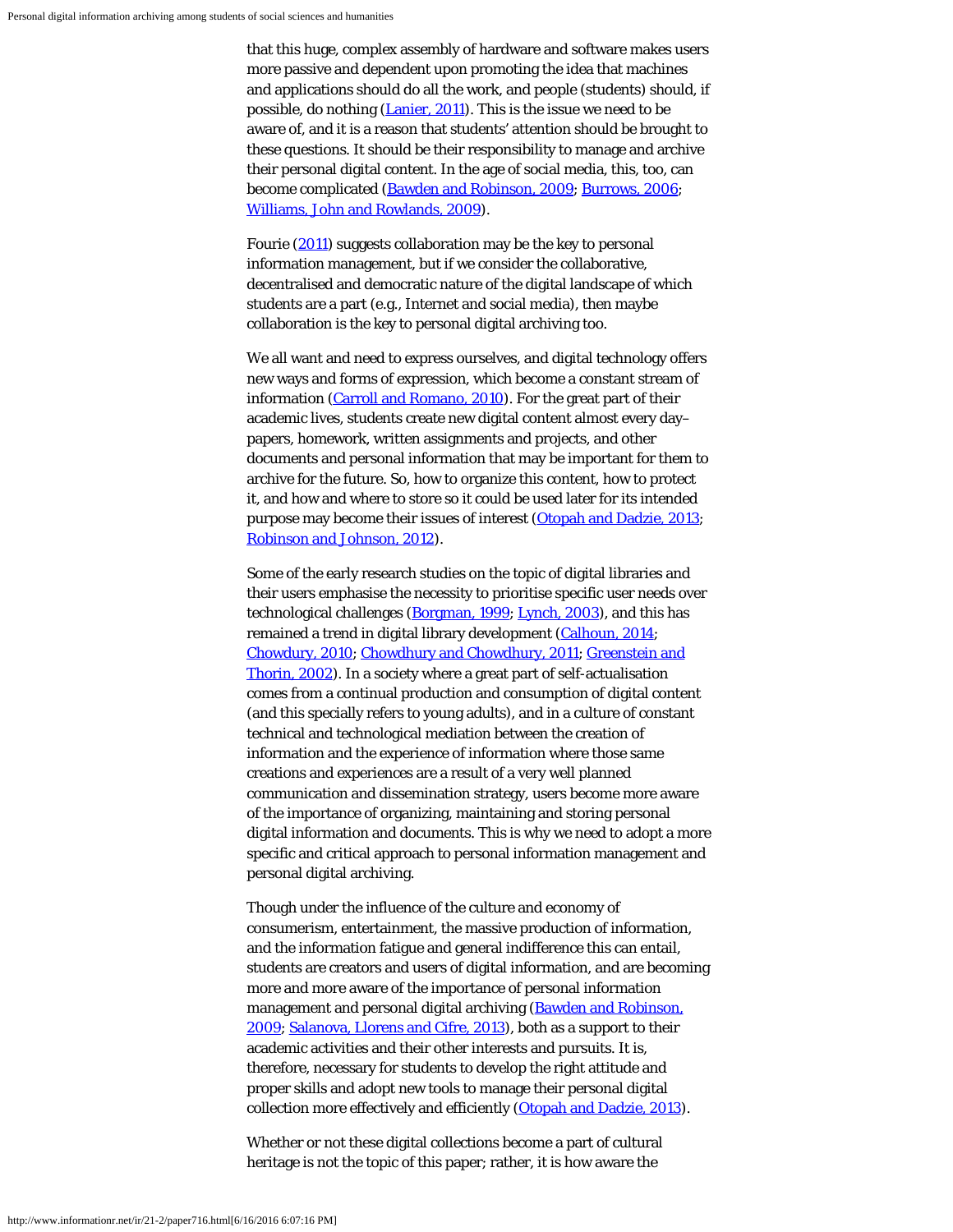that this huge, complex assembly of hardware and software makes users more passive and dependent upon promoting the idea that machines and applications should do all the work, and people (students) should, if possible, do nothing [\(Lanier, 2011](#page-18-0)). This is the issue we need to be aware of, and it is a reason that students' attention should be brought to these questions. It should be their responsibility to manage and archive their personal digital content. In the age of social media, this, too, can become complicated ([Bawden and Robinson, 2009](#page-18-0); [Burrows, 2006](#page-18-0); [Williams, John and Rowlands, 2009\)](#page-18-3).

Fourie [\(2011](#page-18-0)) suggests collaboration may be the key to personal information management, but if we consider the collaborative, decentralised and democratic nature of the digital landscape of which students are a part (e.g., Internet and social media), then maybe collaboration is the key to personal digital archiving too.

We all want and need to express ourselves, and digital technology offers new ways and forms of expression, which become a constant stream of information [\(Carroll and Romano, 2010](#page-18-0)). For the great part of their academic lives, students create new digital content almost every day– papers, homework, written assignments and projects, and other documents and personal information that may be important for them to archive for the future. So, how to organize this content, how to protect it, and how and where to store so it could be used later for its intended purpose may become their issues of interest [\(Otopah and Dadzie, 2013](#page-18-4); [Robinson and Johnson, 2012\)](#page-18-5).

Some of the early research studies on the topic of digital libraries and their users emphasise the necessity to prioritise specific user needs over technological challenges [\(Borgman, 1999](#page-18-0); [Lynch, 2003](#page-18-0)), and this has remained a trend in digital library development [\(Calhoun, 2014](#page-18-0); [Chowdury, 2010;](#page-18-0) [Chowdhury and Chowdhury, 2011;](#page-18-0) [Greenstein and](#page-18-0) [Thorin, 2002\)](#page-18-0). In a society where a great part of self-actualisation comes from a continual production and consumption of digital content (and this specially refers to young adults), and in a culture of constant technical and technological mediation between the creation of information and the experience of information where those same creations and experiences are a result of a very well planned communication and dissemination strategy, users become more aware of the importance of organizing, maintaining and storing personal digital information and documents. This is why we need to adopt a more specific and critical approach to personal information management and personal digital archiving.

Though under the influence of the culture and economy of consumerism, entertainment, the massive production of information, and the information fatigue and general indifference this can entail, students are creators and users of digital information, and are becoming more and more aware of the importance of personal information management and personal digital archiving [\(Bawden and Robinson,](#page-18-0) [2009;](#page-18-0) [Salanova, Llorens and Cifre, 2013](#page-18-6)), both as a support to their academic activities and their other interests and pursuits. It is, therefore, necessary for students to develop the right attitude and proper skills and adopt new tools to manage their personal digital collection more effectively and efficiently [\(Otopah and Dadzie, 2013](#page-18-4)).

Whether or not these digital collections become a part of cultural heritage is not the topic of this paper; rather, it is how aware the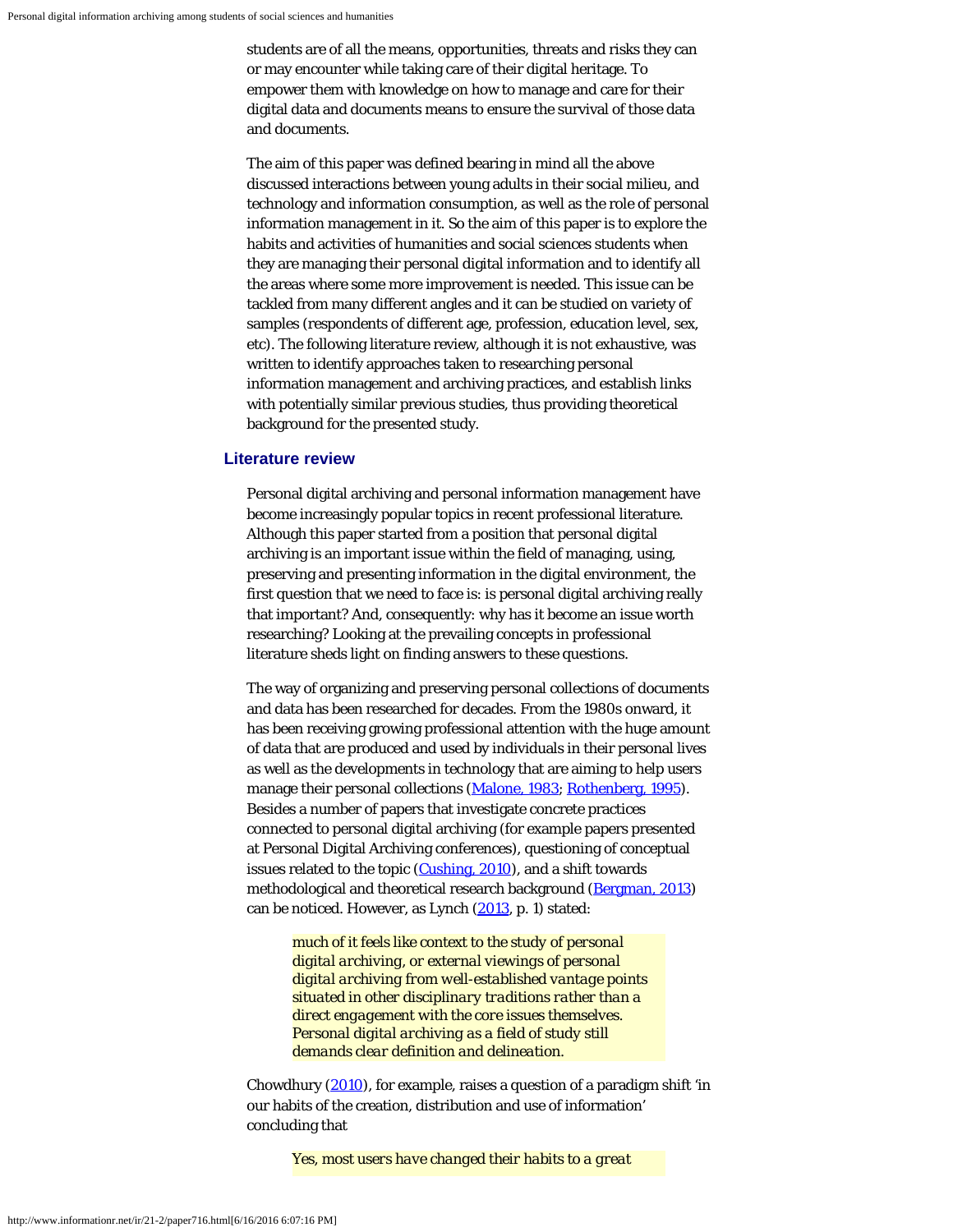students are of all the means, opportunities, threats and risks they can or may encounter while taking care of their digital heritage. To empower them with knowledge on how to manage and care for their digital data and documents means to ensure the survival of those data and documents.

The aim of this paper was defined bearing in mind all the above discussed interactions between young adults in their social milieu, and technology and information consumption, as well as the role of personal information management in it. So the aim of this paper is to explore the habits and activities of humanities and social sciences students when they are managing their personal digital information and to identify all the areas where some more improvement is needed. This issue can be tackled from many different angles and it can be studied on variety of samples (respondents of different age, profession, education level, sex, etc). The following literature review, although it is not exhaustive, was written to identify approaches taken to researching personal information management and archiving practices, and establish links with potentially similar previous studies, thus providing theoretical background for the presented study.

#### **Literature review**

Personal digital archiving and personal information management have become increasingly popular topics in recent professional literature. Although this paper started from a position that personal digital archiving is an important issue within the field of managing, using, preserving and presenting information in the digital environment, the first question that we need to face is: is personal digital archiving really that important? And, consequently: why has it become an issue worth researching? Looking at the prevailing concepts in professional literature sheds light on finding answers to these questions.

The way of organizing and preserving personal collections of documents and data has been researched for decades. From the 1980s onward, it has been receiving growing professional attention with the huge amount of data that are produced and used by individuals in their personal lives as well as the developments in technology that are aiming to help users manage their personal collections ([Malone, 1983](#page-18-0); [Rothenberg, 1995](#page-18-7)). Besides a number of papers that investigate concrete practices connected to personal digital archiving (for example papers presented at Personal Digital Archiving conferences), questioning of conceptual issues related to the topic ([Cushing, 2010](#page-18-0)), and a shift towards methodological and theoretical research background [\(Bergman, 2013\)](#page-18-0) can be noticed. However, as Lynch [\(2013](#page-18-0), p. 1) stated:

*much of it feels like context to the study of personal digital archiving, or external viewings of personal digital archiving from well-established vantage points situated in other disciplinary traditions rather than a direct engagement with the core issues themselves. Personal digital archiving as a field of study still demands clear definition and delineation.*

Chowdhury [\(2010](#page-18-0)), for example, raises a question of a paradigm shift 'in our habits of the creation, distribution and use of information' concluding that

*Yes, most users have changed their habits to a great*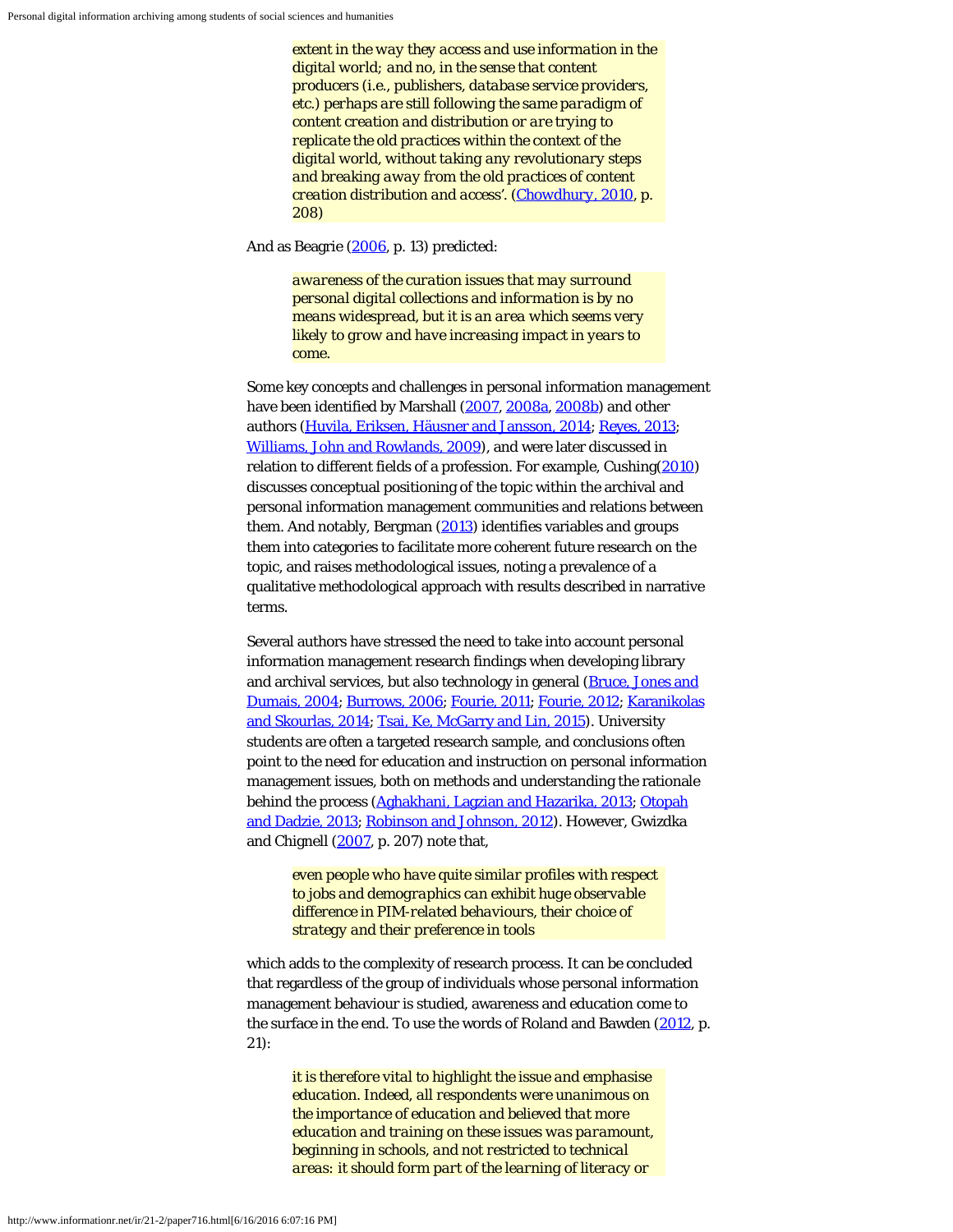*extent in the way they access and use information in the digital world; and no, in the sense that content producers (i.e., publishers, database service providers, etc.) perhaps are still following the same paradigm of content creation and distribution or are trying to replicate the old practices within the context of the digital world, without taking any revolutionary steps and breaking away from the old practices of content creation distribution and access'. ([Chowdhury, 2010,](#page-18-0) p. 208)*

And as Beagrie ([2006,](#page-18-0) p. 13) predicted:

*awareness of the curation issues that may surround personal digital collections and information is by no means widespread, but it is an area which seems very likely to grow and have increasing impact in years to come.*

Some key concepts and challenges in personal information management have been identified by Marshall ([2007](#page-18-0), [2008a](#page-18-0), [2008b](#page-18-0)) and other authors ([Huvila, Eriksen, Häusner and Jansson, 2014;](#page-18-0) [Reyes, 2013](#page-18-8); [Williams, John and Rowlands, 2009\)](#page-18-3), and were later discussed in relation to different fields of a profession. For example, Cushing[\(2010](#page-18-0)) discusses conceptual positioning of the topic within the archival and personal information management communities and relations between them. And notably, Bergman [\(2013](#page-18-0)) identifies variables and groups them into categories to facilitate more coherent future research on the topic, and raises methodological issues, noting a prevalence of a qualitative methodological approach with results described in narrative terms.

Several authors have stressed the need to take into account personal information management research findings when developing library and archival services, but also technology in general (**Bruce**, Jones and [Dumais, 2004](#page-18-0); [Burrows, 2006](#page-18-0); [Fourie, 2011;](#page-18-0) [Fourie, 2012; Karanikolas](#page-18-0) [and Skourlas, 2014](#page-18-0); [Tsai, Ke, McGarry and Lin, 2015](#page-18-9)). University students are often a targeted research sample, and conclusions often point to the need for education and instruction on personal information management issues, both on methods and understanding the rationale behind the process ([Aghakhani, Lagzian and Hazarika, 2013](#page-18-0); [Otopah](#page-18-4) [and Dadzie, 2013;](#page-18-4) [Robinson and Johnson, 2012](#page-18-5)). However, Gwizdka and Chignell [\(2007](#page-18-0), p. 207) note that,

> *even people who have quite similar profiles with respect to jobs and demographics can exhibit huge observable difference in PIM-related behaviours, their choice of strategy and their preference in tools*

which adds to the complexity of research process. It can be concluded that regardless of the group of individuals whose personal information management behaviour is studied, awareness and education come to the surface in the end. To use the words of Roland and Bawden [\(2012](#page-18-10), p. 21):

> *it is therefore vital to highlight the issue and emphasise education. Indeed, all respondents were unanimous on the importance of education and believed that more education and training on these issues was paramount, beginning in schools, and not restricted to technical areas: it should form part of the learning of literacy or*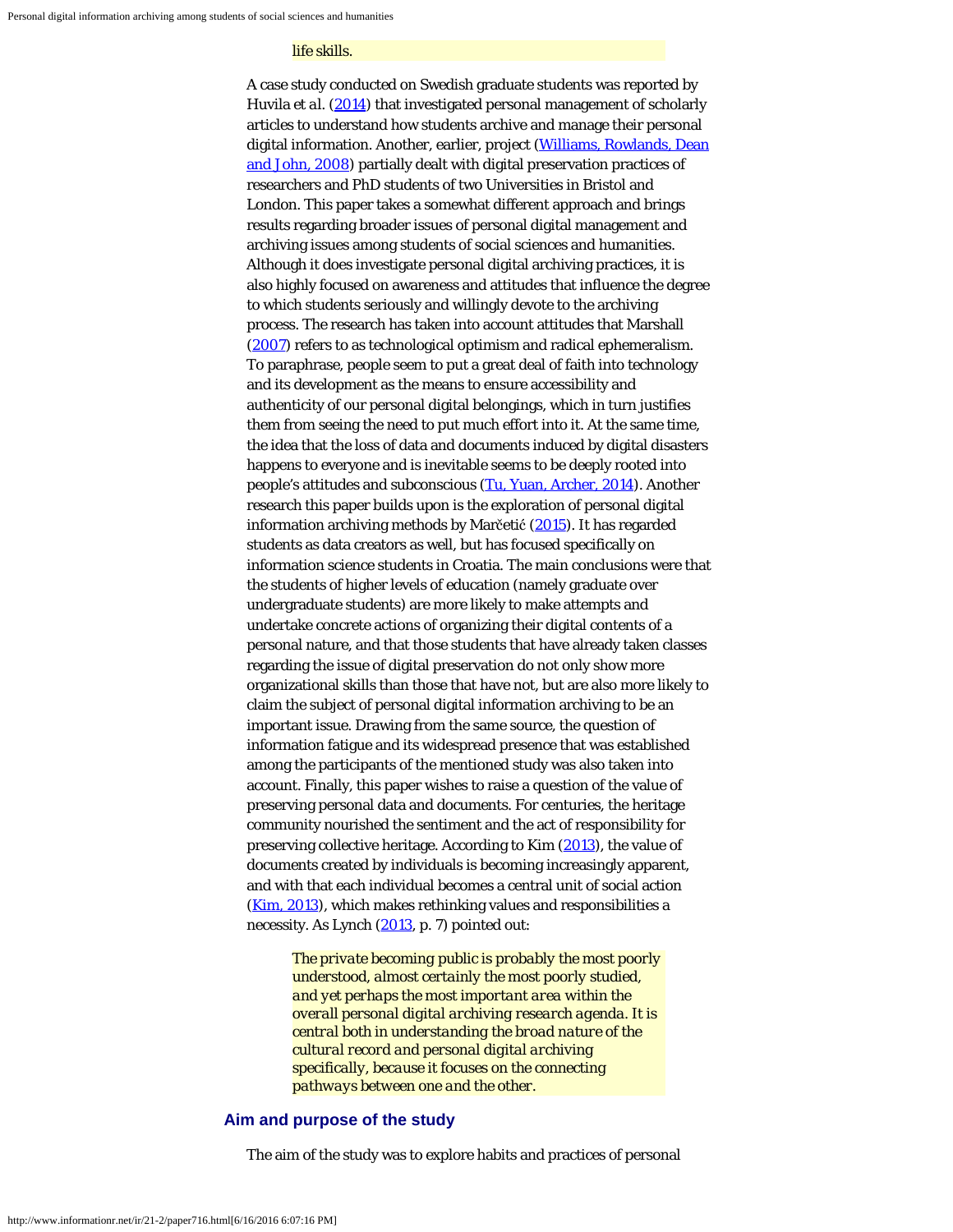#### *life skills.*

A case study conducted on Swedish graduate students was reported by Huvila *et al.* ([2014](#page-18-0)) that investigated personal management of scholarly articles to understand how students archive and manage their personal digital information. Another, earlier, project [\(Williams, Rowlands, Dean](#page-18-2) [and John, 2008](#page-18-2)) partially dealt with digital preservation practices of researchers and PhD students of two Universities in Bristol and London. This paper takes a somewhat different approach and brings results regarding broader issues of personal digital management and archiving issues among students of social sciences and humanities. Although it does investigate personal digital archiving practices, it is also highly focused on awareness and attitudes that influence the degree to which students seriously and willingly devote to the archiving process. The research has taken into account attitudes that Marshall [\(2007](#page-18-0)) refers to as technological optimism and radical ephemeralism. To paraphrase, people seem to put a great deal of faith into technology and its development as the means to ensure accessibility and authenticity of our personal digital belongings, which in turn justifies them from seeing the need to put much effort into it. At the same time, the idea that the loss of data and documents induced by digital disasters happens to everyone and is inevitable seems to be deeply rooted into people's attitudes and subconscious ([Tu, Yuan, Archer, 2014](#page-18-11)). Another research this paper builds upon is the exploration of personal digital information archiving methods by Marčetić [\(2015](#page-18-0)). It has regarded students as data creators as well, but has focused specifically on information science students in Croatia. The main conclusions were that the students of higher levels of education (namely graduate over undergraduate students) are more likely to make attempts and undertake concrete actions of organizing their digital contents of a personal nature, and that those students that have already taken classes regarding the issue of digital preservation do not only show more organizational skills than those that have not, but are also more likely to claim the subject of personal digital information archiving to be an important issue. Drawing from the same source, the question of information fatigue and its widespread presence that was established among the participants of the mentioned study was also taken into account. Finally, this paper wishes to raise a question of the value of preserving personal data and documents. For centuries, the heritage community nourished the sentiment and the act of responsibility for preserving collective heritage. According to Kim [\(2013](#page-18-0)), the value of documents created by individuals is becoming increasingly apparent, and with that each individual becomes a central unit of social action [\(Kim, 2013](#page-18-0)), which makes rethinking values and responsibilities a necessity. As Lynch [\(2013](#page-18-0), p. 7) pointed out:

*The private becoming public is probably the most poorly understood, almost certainly the most poorly studied, and yet perhaps the most important area within the overall personal digital archiving research agenda. It is central both in understanding the broad nature of the cultural record and personal digital archiving specifically, because it focuses on the connecting pathways between one and the other.*

## **Aim and purpose of the study**

The aim of the study was to explore habits and practices of personal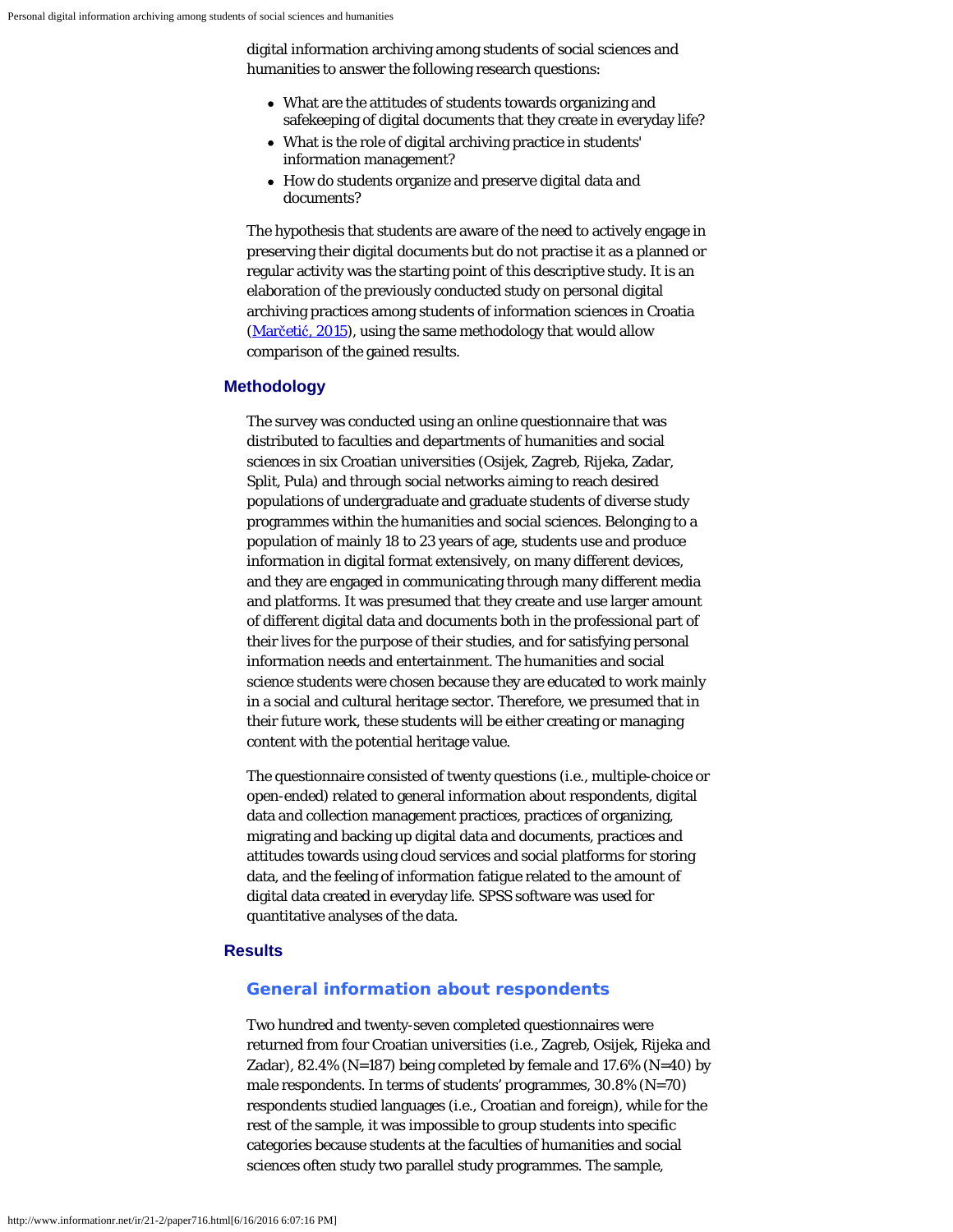digital information archiving among students of social sciences and humanities to answer the following research questions:

- What are the attitudes of students towards organizing and safekeeping of digital documents that they create in everyday life?
- What is the role of digital archiving practice in students' information management?
- How do students organize and preserve digital data and documents?

The hypothesis that students are aware of the need to actively engage in preserving their digital documents but do not practise it as a planned or regular activity was the starting point of this descriptive study. It is an elaboration of the previously conducted study on personal digital archiving practices among students of information sciences in Croatia [\(Mar](#page-18-0)[č](#page-18-0)[eti](#page-18-0)[ć](#page-18-0)[, 2015\)](#page-18-0), using the same methodology that would allow comparison of the gained results.

## **Methodology**

The survey was conducted using an online questionnaire that was distributed to faculties and departments of humanities and social sciences in six Croatian universities (Osijek, Zagreb, Rijeka, Zadar, Split, Pula) and through social networks aiming to reach desired populations of undergraduate and graduate students of diverse study programmes within the humanities and social sciences. Belonging to a population of mainly 18 to 23 years of age, students use and produce information in digital format extensively, on many different devices, and they are engaged in communicating through many different media and platforms. It was presumed that they create and use larger amount of different digital data and documents both in the professional part of their lives for the purpose of their studies, and for satisfying personal information needs and entertainment. The humanities and social science students were chosen because they are educated to work mainly in a social and cultural heritage sector. Therefore, we presumed that in their future work, these students will be either creating or managing content with the potential heritage value.

The questionnaire consisted of twenty questions (i.e., multiple-choice or open-ended) related to general information about respondents, digital data and collection management practices, practices of organizing, migrating and backing up digital data and documents, practices and attitudes towards using cloud services and social platforms for storing data, and the feeling of information fatigue related to the amount of digital data created in everyday life. SPSS software was used for quantitative analyses of the data.

## **Results**

#### **General information about respondents**

Two hundred and twenty-seven completed questionnaires were returned from four Croatian universities (i.e., Zagreb, Osijek, Rijeka and Zadar), 82.4% (N=187) being completed by female and 17.6% (N=40) by male respondents. In terms of students' programmes, 30.8% (N=70) respondents studied languages (i.e., Croatian and foreign), while for the rest of the sample, it was impossible to group students into specific categories because students at the faculties of humanities and social sciences often study two parallel study programmes. The sample,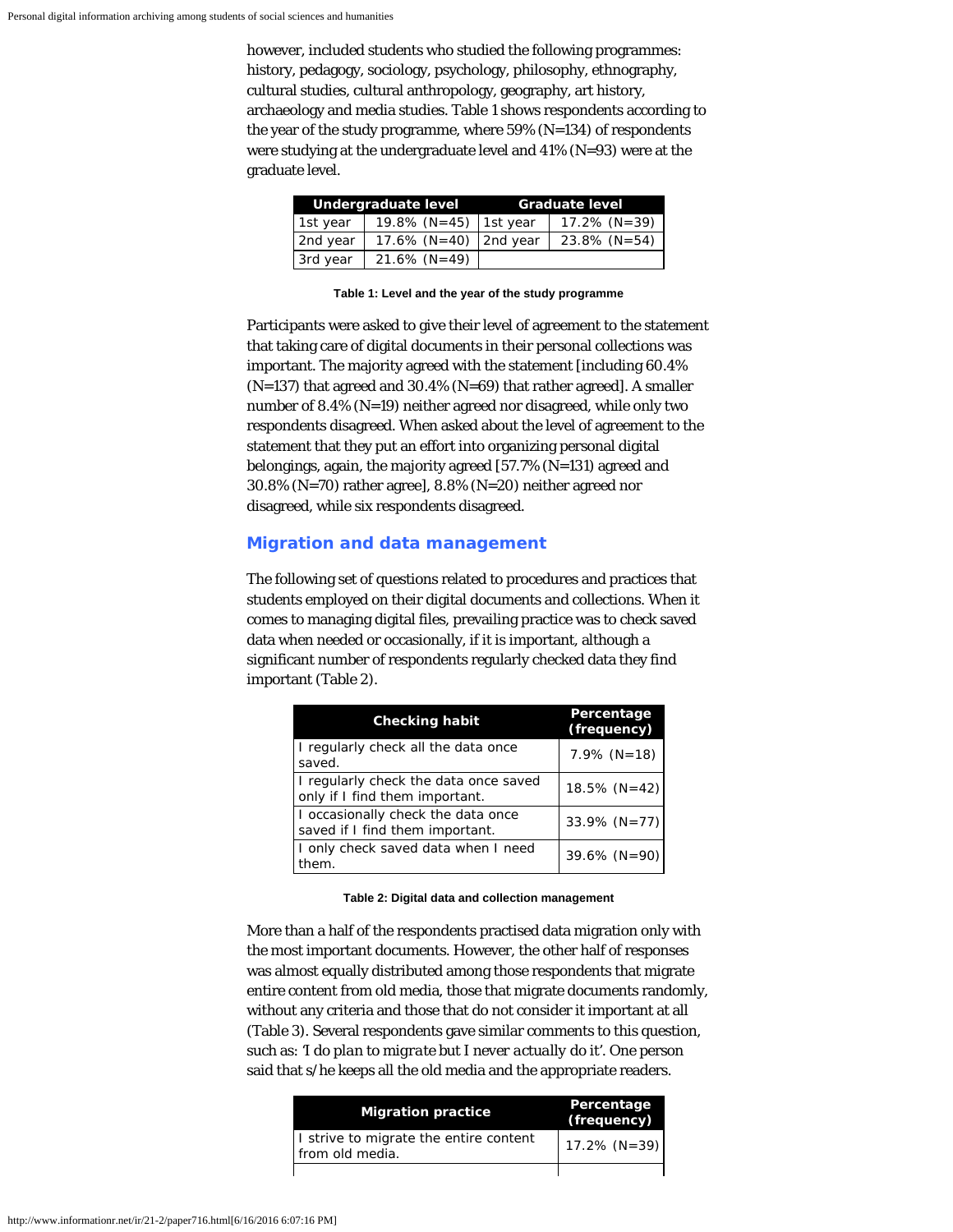however, included students who studied the following programmes: history, pedagogy, sociology, psychology, philosophy, ethnography, cultural studies, cultural anthropology, geography, art history, archaeology and media studies. Table 1 shows respondents according to the year of the study programme, where 59% (N=134) of respondents were studying at the undergraduate level and 41% (N=93) were at the graduate level.

|          | Undergraduate level       | <b>Graduate level</b> |
|----------|---------------------------|-----------------------|
| 1st year | 19.8% (N=45) 1st year     | $17.2\%$ (N=39)       |
| 2nd year | 17.6% ( $N=40$ ) 2nd year | $23.8\%$ (N=54)       |
| 3rd year | $21.6\%$ (N=49)           |                       |

**Table 1: Level and the year of the study programme**

Participants were asked to give their level of agreement to the statement that taking care of digital documents in their personal collections was important. The majority agreed with the statement [including 60.4% (N=137) that agreed and 30.4% (N=69) that rather agreed]. A smaller number of 8.4% (N=19) neither agreed nor disagreed, while only two respondents disagreed. When asked about the level of agreement to the statement that they put an effort into organizing personal digital belongings, again, the majority agreed [57.7% (N=131) agreed and 30.8% (N=70) rather agree], 8.8% (N=20) neither agreed nor disagreed, while six respondents disagreed.

## **Migration and data management**

The following set of questions related to procedures and practices that students employed on their digital documents and collections. When it comes to managing digital files, prevailing practice was to check saved data when needed or occasionally, if it is important, although a significant number of respondents regularly checked data they find important (Table 2).

| <b>Checking habit</b>                                                   | Percentage<br>(frequency) |
|-------------------------------------------------------------------------|---------------------------|
| I regularly check all the data once<br>saved.                           | $7.9\%$ (N=18)            |
| I regularly check the data once saved<br>only if I find them important. | $18.5\%$ (N=42)           |
| I occasionally check the data once<br>saved if I find them important.   | 33.9% $(N=77)$            |
| I only check saved data when I need<br>them.                            | $39.6\%$ (N=90)           |

**Table 2: Digital data and collection management**

More than a half of the respondents practised data migration only with the most important documents. However, the other half of responses was almost equally distributed among those respondents that migrate entire content from old media, those that migrate documents randomly, without any criteria and those that do not consider it important at all (Table 3). Several respondents gave similar comments to this question, such as: *'I do plan to migrate but I never actually do it'*. One person said that s/he keeps all the old media and the appropriate readers.

| <b>Migration practice</b>                                 | Percentage<br>(frequency) |
|-----------------------------------------------------------|---------------------------|
| I strive to migrate the entire content<br>from old media. | $17.2\%$ (N=39)           |
|                                                           |                           |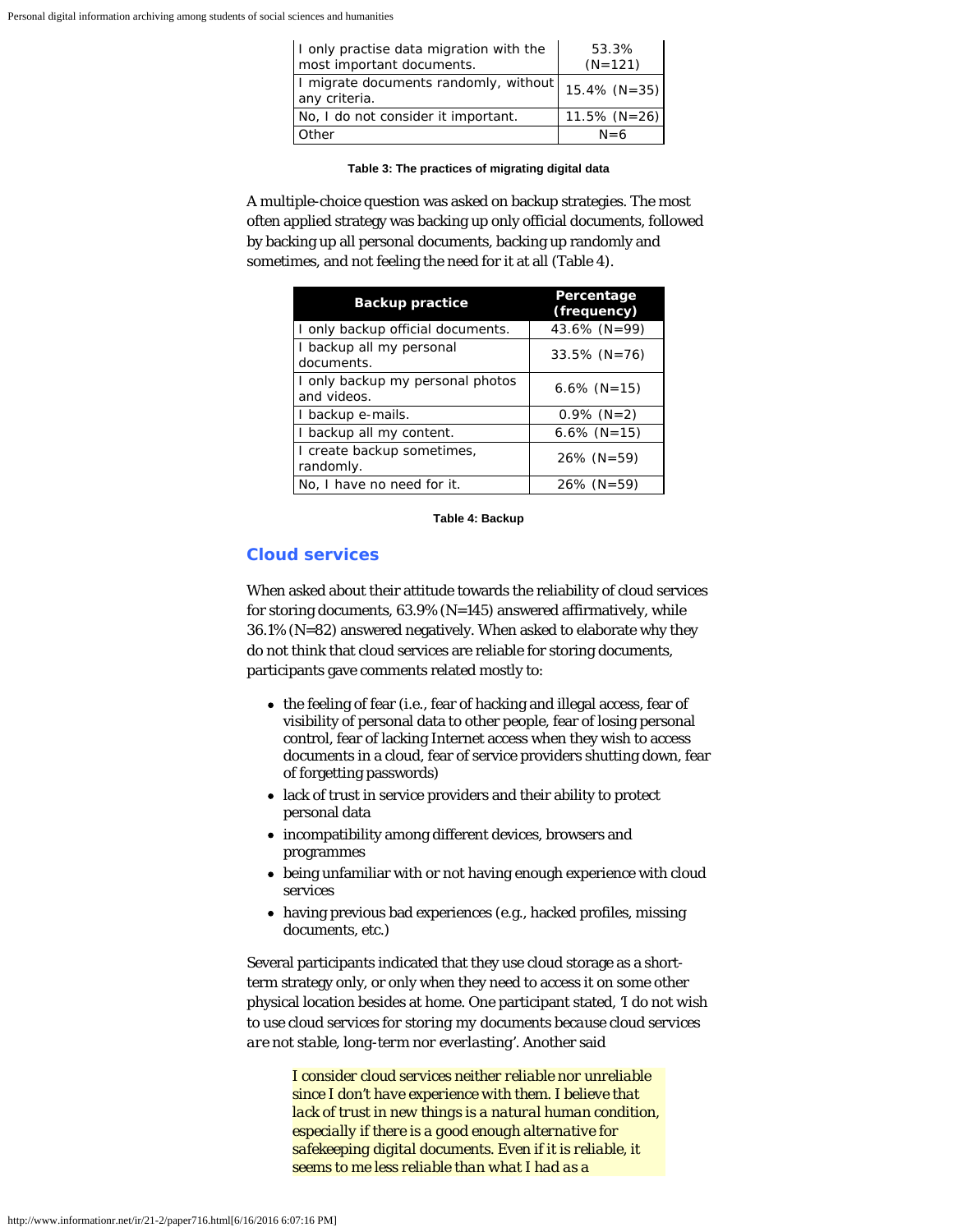| I only practise data migration with the<br>most important documents. | 53.3%<br>$(N=121)$ |
|----------------------------------------------------------------------|--------------------|
| I migrate documents randomly, without<br>any criteria.               | $15.4\%$ (N=35)    |
| No, I do not consider it important.                                  | $11.5\%$ (N=26)    |
| Other                                                                | $N = 6$            |

#### **Table 3: The practices of migrating digital data**

A multiple-choice question was asked on backup strategies. The most often applied strategy was backing up only official documents, followed by backing up all personal documents, backing up randomly and sometimes, and not feeling the need for it at all (Table 4).

| <b>Backup practice</b>                          | Percentage<br>(frequency) |
|-------------------------------------------------|---------------------------|
| I only backup official documents.               | 43.6% ( $N = 99$ )        |
| I backup all my personal<br>documents.          | $33.5\%$ (N=76)           |
| I only backup my personal photos<br>and videos. | $6.6\%$ (N=15)            |
| I backup e-mails.                               | $0.9\%$ (N=2)             |
| I backup all my content.                        | $6.6\%$ (N=15)            |
| I create backup sometimes,<br>randomly.         | $26\%$ (N=59)             |
| No, I have no need for it.                      | $26\%$ (N=59)             |

#### **Table 4: Backup**

## **Cloud services**

When asked about their attitude towards the reliability of cloud services for storing documents, 63.9% (N=145) answered affirmatively, while 36.1% (N=82) answered negatively. When asked to elaborate why they do not think that cloud services are reliable for storing documents, participants gave comments related mostly to:

- the feeling of fear (i.e., fear of hacking and illegal access, fear of visibility of personal data to other people, fear of losing personal control, fear of lacking Internet access when they wish to access documents in a cloud, fear of service providers shutting down, fear of forgetting passwords)
- lack of trust in service providers and their ability to protect personal data
- incompatibility among different devices, browsers and programmes
- being unfamiliar with or not having enough experience with cloud services
- having previous bad experiences (e.g., hacked profiles, missing documents, etc.)

Several participants indicated that they use cloud storage as a shortterm strategy only, or only when they need to access it on some other physical location besides at home. One participant stated, *'I do not wish to use cloud services for storing my documents because cloud services are not stable, long-term nor everlasting'*. Another said

> *I consider cloud services neither reliable nor unreliable since I don't have experience with them. I believe that lack of trust in new things is a natural human condition, especially if there is a good enough alternative for safekeeping digital documents. Even if it is reliable, it seems to me less reliable than what I had as a*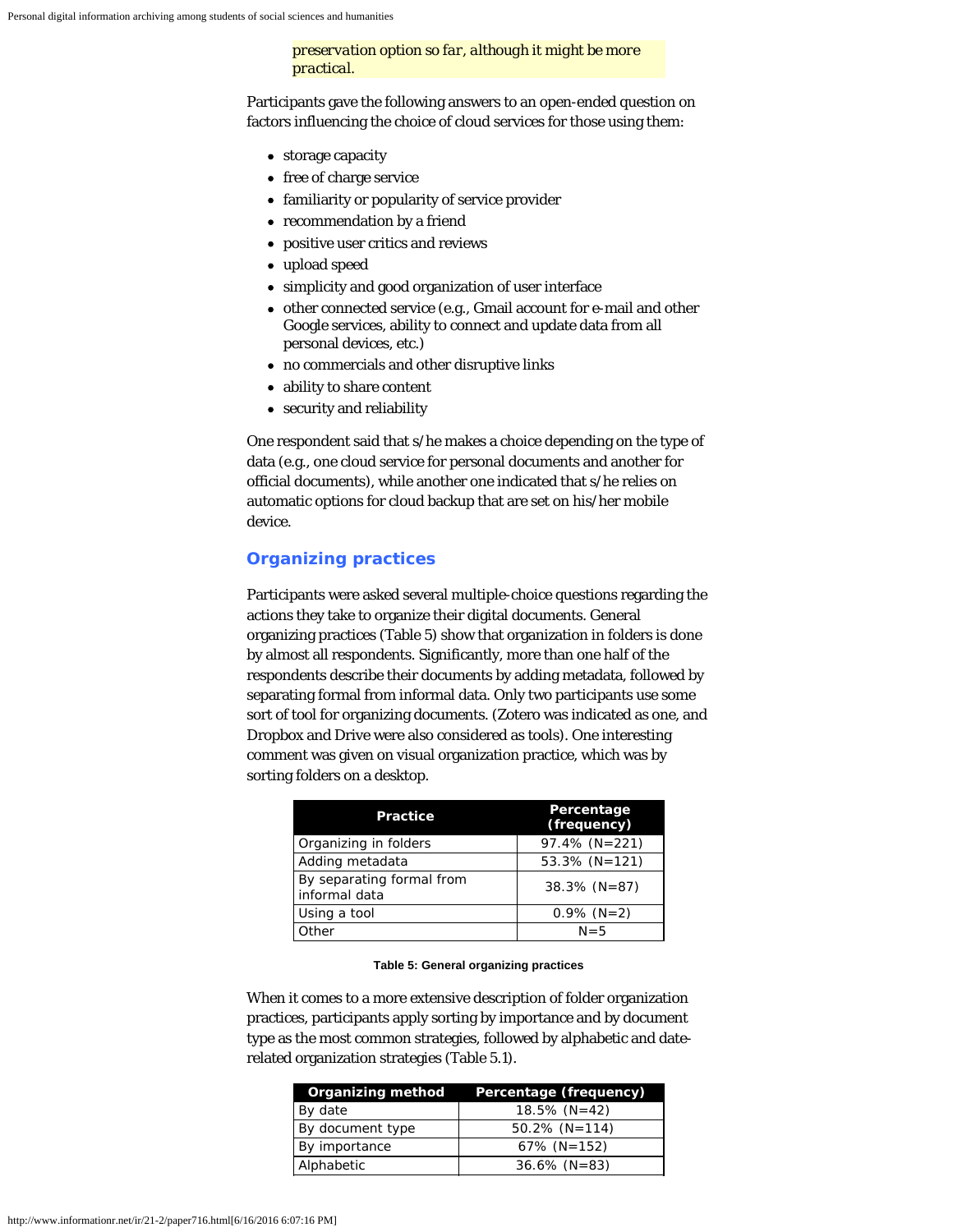*preservation option so far, although it might be more practical.*

Participants gave the following answers to an open-ended question on factors influencing the choice of cloud services for those using them:

- storage capacity
- free of charge service
- familiarity or popularity of service provider
- recommendation by a friend
- positive user critics and reviews
- upload speed
- simplicity and good organization of user interface
- other connected service (e.g., Gmail account for e-mail and other Google services, ability to connect and update data from all personal devices, etc.)
- no commercials and other disruptive links
- ability to share content
- security and reliability

One respondent said that s/he makes a choice depending on the type of data (e.g., one cloud service for personal documents and another for official documents), while another one indicated that s/he relies on automatic options for cloud backup that are set on his/her mobile device.

## **Organizing practices**

Participants were asked several multiple-choice questions regarding the actions they take to organize their digital documents. General organizing practices (Table 5) show that organization in folders is done by almost all respondents. Significantly, more than one half of the respondents describe their documents by adding metadata, followed by separating formal from informal data. Only two participants use some sort of tool for organizing documents. (Zotero was indicated as one, and Dropbox and Drive were also considered as tools). One interesting comment was given on visual organization practice, which was by sorting folders on a desktop.

| <b>Practice</b>                            | Percentage<br>(frequency) |
|--------------------------------------------|---------------------------|
| Organizing in folders                      | $97.4\%$ (N=221)          |
| Adding metadata                            | $53.3\%$ (N=121)          |
| By separating formal from<br>informal data | $38.3\%$ (N=87)           |
| Using a tool                               | $0.9\%$ (N=2)             |
| Other                                      | $N = 5$                   |

#### **Table 5: General organizing practices**

When it comes to a more extensive description of folder organization practices, participants apply sorting by importance and by document type as the most common strategies, followed by alphabetic and daterelated organization strategies (Table 5.1).

| Organizing method | Percentage (frequency) |
|-------------------|------------------------|
| By date           | $18.5\%$ (N=42)        |
| By document type  | $50.2\%$ (N=114)       |
| By importance     | $67\%$ (N=152)         |
| Alphabetic        | $36.6\%$ (N=83)        |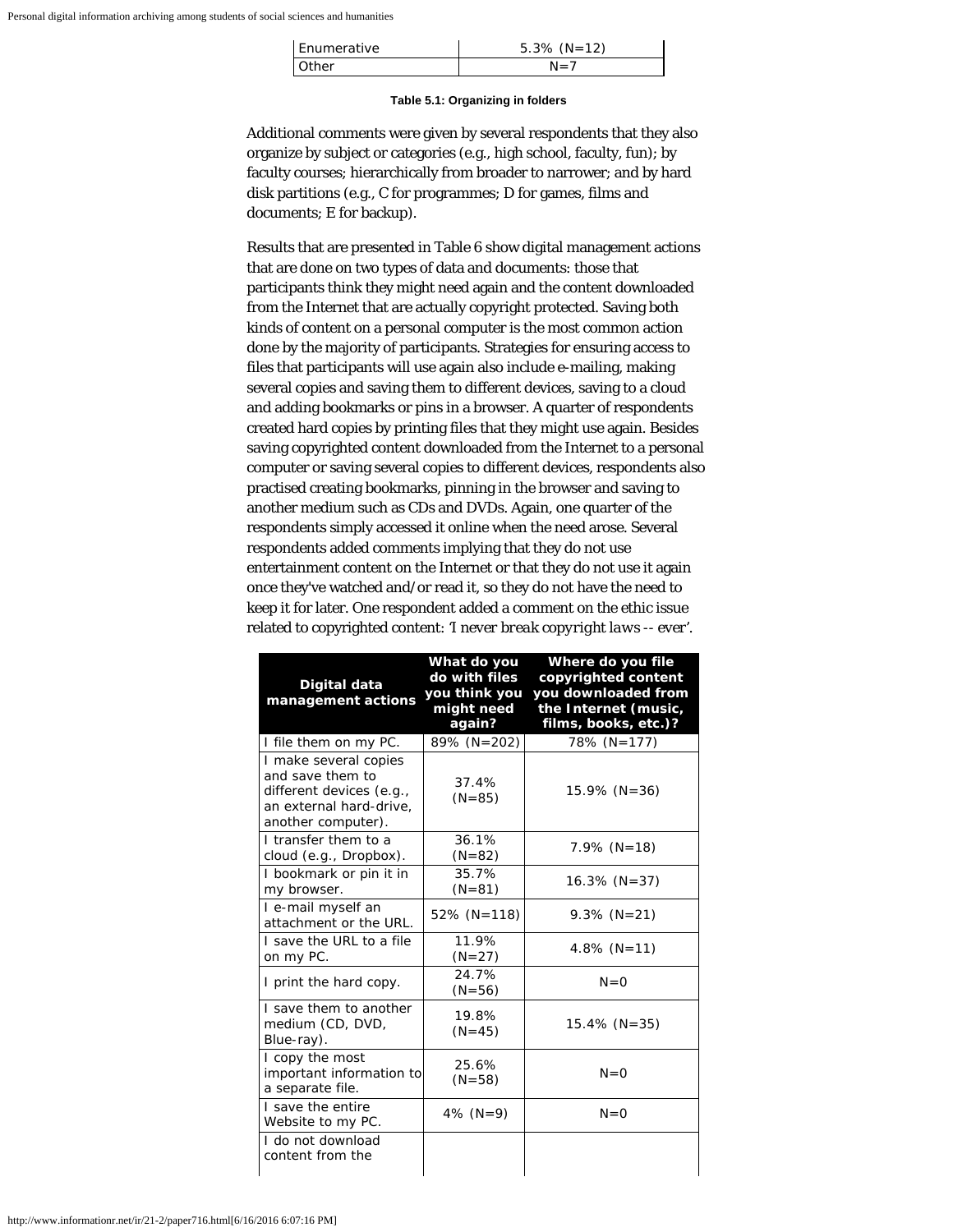| Enumerative | $5.3\%$ (N=12) |
|-------------|----------------|
| Other       | $N = 7$        |

#### **Table 5.1: Organizing in folders**

Additional comments were given by several respondents that they also organize by subject or categories (e.g., high school, faculty, fun); by faculty courses; hierarchically from broader to narrower; and by hard disk partitions (e.g., C for programmes; D for games, films and documents; E for backup).

Results that are presented in Table 6 show digital management actions that are done on two types of data and documents: those that participants think they might need again and the content downloaded from the Internet that are actually copyright protected. Saving both kinds of content on a personal computer is the most common action done by the majority of participants. Strategies for ensuring access to files that participants will use again also include e-mailing, making several copies and saving them to different devices, saving to a cloud and adding bookmarks or pins in a browser. A quarter of respondents created hard copies by printing files that they might use again. Besides saving copyrighted content downloaded from the Internet to a personal computer or saving several copies to different devices, respondents also practised creating bookmarks, pinning in the browser and saving to another medium such as CDs and DVDs. Again, one quarter of the respondents simply accessed it online when the need arose. Several respondents added comments implying that they do not use entertainment content on the Internet or that they do not use it again once they've watched and/or read it, so they do not have the need to keep it for later. One respondent added a comment on the ethic issue related to copyrighted content: *'I never break copyright laws -- ever'*.

| Digital data<br>management actions                                                                                     | What do you<br>do with files<br>you think you<br>might need<br>again? | Where do you file<br>copyrighted content<br>you downloaded from<br>the Internet (music,<br>films, books, etc.)? |
|------------------------------------------------------------------------------------------------------------------------|-----------------------------------------------------------------------|-----------------------------------------------------------------------------------------------------------------|
| I file them on my PC.                                                                                                  | 89% (N=202)                                                           | 78% (N=177)                                                                                                     |
| I make several copies<br>and save them to<br>different devices (e.g.,<br>an external hard-drive,<br>another computer). | 37.4%<br>$(N = 85)$                                                   | $15.9\%$ (N=36)                                                                                                 |
| I transfer them to a<br>cloud (e.g., Dropbox).                                                                         | 36.1%<br>$(N=82)$                                                     | $7.9\%$ (N=18)                                                                                                  |
| I bookmark or pin it in<br>my browser.                                                                                 | 35.7%<br>$(N=81)$                                                     | $16.3\%$ (N=37)                                                                                                 |
| I e-mail myself an<br>attachment or the URL.                                                                           | $52\%$ (N=118)                                                        | $9.3\%$ (N=21)                                                                                                  |
| I save the URL to a file<br>on my PC.                                                                                  | 11.9%<br>$(N=27)$                                                     | 4.8% $(N=11)$                                                                                                   |
| I print the hard copy.                                                                                                 | 24.7%<br>$(N=56)$                                                     | $N = 0$                                                                                                         |
| I save them to another<br>medium (CD, DVD,<br>Blue-ray).                                                               | 19.8%<br>$(N=45)$                                                     | $15.4\%$ (N=35)                                                                                                 |
| I copy the most<br>important information to<br>a separate file.                                                        | 25.6%<br>$(N = 58)$                                                   | $N=0$                                                                                                           |
| I save the entire<br>Website to my PC.                                                                                 | 4% $(N=9)$                                                            | $N = 0$                                                                                                         |
| I do not download<br>content from the                                                                                  |                                                                       |                                                                                                                 |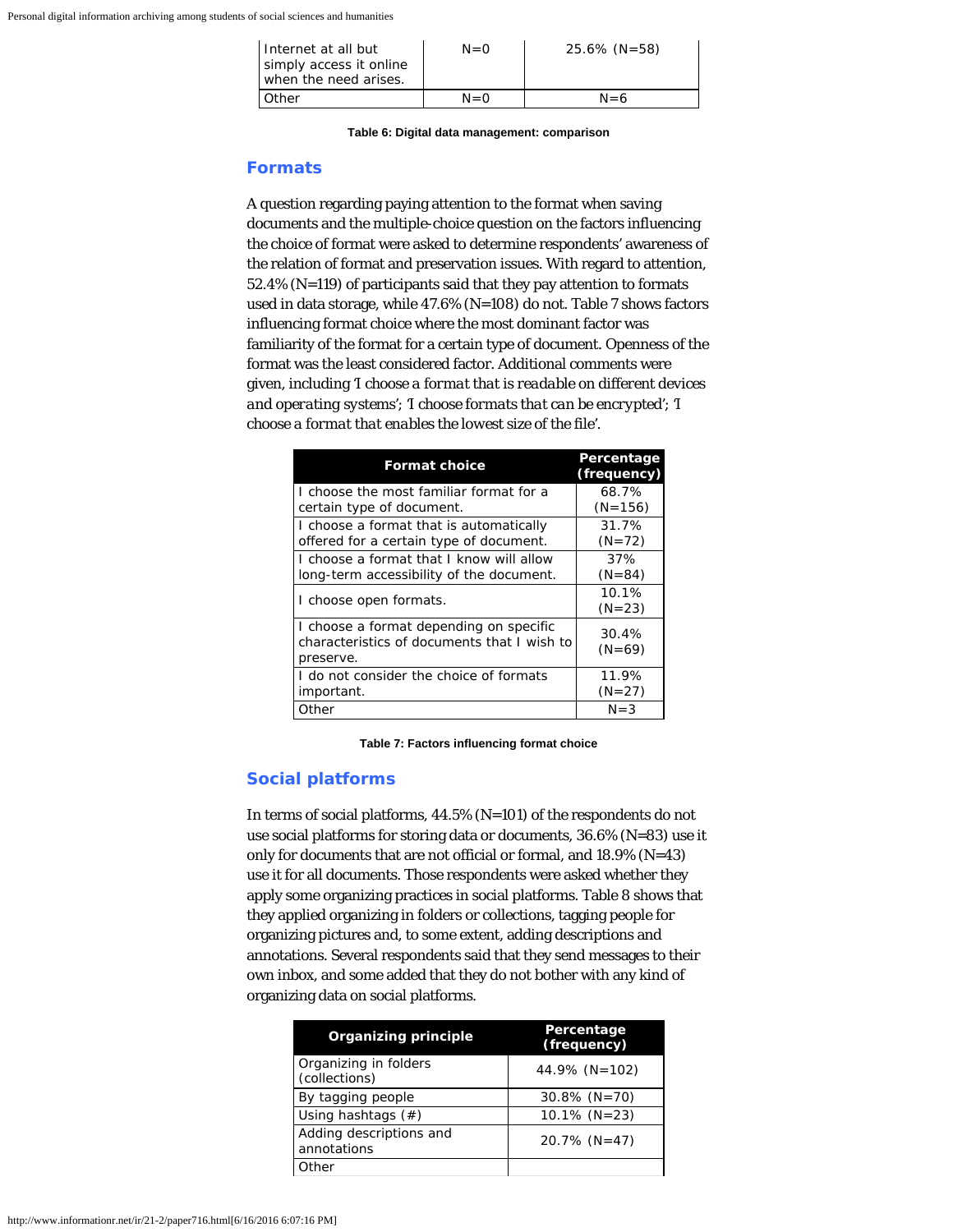| I Internet at all but<br>simply access it online<br>when the need arises. | $N = 0$ | $25.6\%$ (N=58) |
|---------------------------------------------------------------------------|---------|-----------------|
| Other                                                                     | $N = 0$ | $N = 6$         |

**Table 6: Digital data management: comparison**

## **Formats**

A question regarding paying attention to the format when saving documents and the multiple-choice question on the factors influencing the choice of format were asked to determine respondents' awareness of the relation of format and preservation issues. With regard to attention, 52.4% (N=119) of participants said that they pay attention to formats used in data storage, while 47.6% (N=108) do not. Table 7 shows factors influencing format choice where the most dominant factor was familiarity of the format for a certain type of document. Openness of the format was the least considered factor. Additional comments were given, including *'I choose a format that is readable on different devices and operating systems'*; *'I choose formats that can be encrypted'*; *'I choose a format that enables the lowest size of the file'*.

| <b>Format choice</b>                                                                                | Percentage<br>(frequency) |
|-----------------------------------------------------------------------------------------------------|---------------------------|
| I choose the most familiar format for a                                                             | 68.7%                     |
| certain type of document.                                                                           | $(N=156)$                 |
| I choose a format that is automatically                                                             | 31.7%                     |
| offered for a certain type of document.                                                             | $(N=72)$                  |
| I choose a format that I know will allow                                                            | 37%                       |
| long-term accessibility of the document.                                                            | $(N = 84)$                |
| I choose open formats.                                                                              | 10.1%<br>$(N=23)$         |
| I choose a format depending on specific<br>characteristics of documents that I wish to<br>preserve. | 30.4%<br>$(N=69)$         |
| I do not consider the choice of formats                                                             | 11.9%                     |
| important.                                                                                          | $(N=27)$                  |
| Other                                                                                               | $N = 3$                   |

**Table 7: Factors influencing format choice**

## **Social platforms**

In terms of social platforms, 44.5% (N=101) of the respondents do not use social platforms for storing data or documents, 36.6% (N=83) use it only for documents that are not official or formal, and 18.9% (N=43) use it for all documents. Those respondents were asked whether they apply some organizing practices in social platforms. Table 8 shows that they applied organizing in folders or collections, tagging people for organizing pictures and, to some extent, adding descriptions and annotations. Several respondents said that they send messages to their own inbox, and some added that they do not bother with any kind of organizing data on social platforms.

| <b>Organizing principle</b>            | Percentage<br>(frequency) |
|----------------------------------------|---------------------------|
| Organizing in folders<br>(collections) | 44.9% $(N=102)$           |
| By tagging people                      | $30.8\%$ (N=70)           |
| Using hashtags $(\#)$                  | $10.1\%$ (N=23)           |
| Adding descriptions and<br>annotations | $20.7\%$ (N=47)           |
| Other                                  |                           |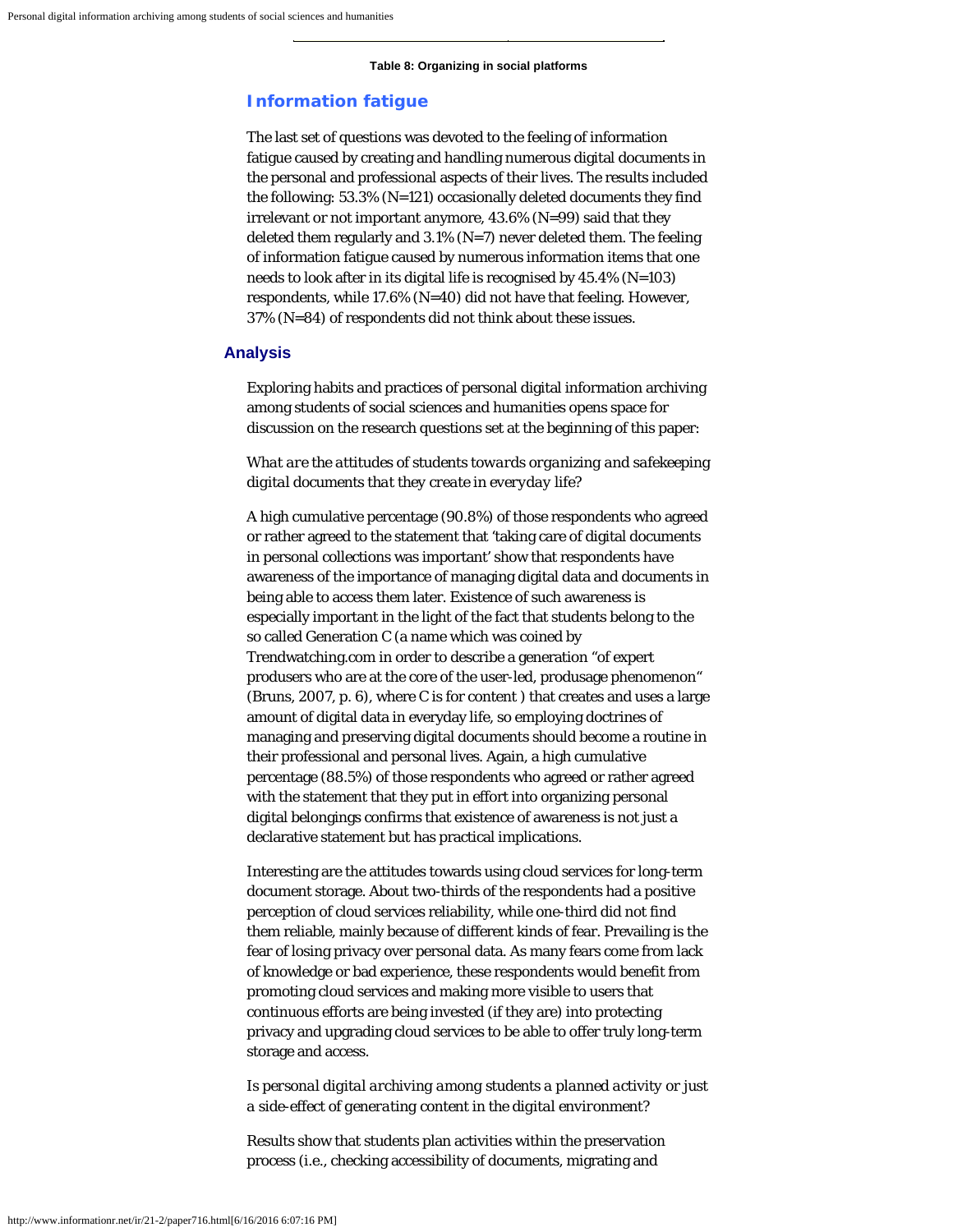#### **Table 8: Organizing in social platforms**

#### **Information fatigue**

The last set of questions was devoted to the feeling of information fatigue caused by creating and handling numerous digital documents in the personal and professional aspects of their lives. The results included the following: 53.3% (N=121) occasionally deleted documents they find irrelevant or not important anymore, 43.6% (N=99) said that they deleted them regularly and  $3.1\%$  (N=7) never deleted them. The feeling of information fatigue caused by numerous information items that one needs to look after in its digital life is recognised by 45.4% (N=103) respondents, while 17.6% (N=40) did not have that feeling. However, 37% (N=84) of respondents did not think about these issues.

#### **Analysis**

Exploring habits and practices of personal digital information archiving among students of social sciences and humanities opens space for discussion on the research questions set at the beginning of this paper:

*What are the attitudes of students towards organizing and safekeeping digital documents that they create in everyday life?*

A high cumulative percentage (90.8%) of those respondents who agreed or rather agreed to the statement that 'taking care of digital documents in personal collections was important' show that respondents have awareness of the importance of managing digital data and documents in being able to access them later. Existence of such awareness is especially important in the light of the fact that students belong to the so called Generation C (a name which was coined by Trendwatching.com in order to describe a generation "of expert produsers who are at the core of the user-led, produsage phenomenon" (Bruns, 2007, p. 6), where C is for content ) that creates and uses a large amount of digital data in everyday life, so employing doctrines of managing and preserving digital documents should become a routine in their professional and personal lives. Again, a high cumulative percentage (88.5%) of those respondents who agreed or rather agreed with the statement that they put in effort into organizing personal digital belongings confirms that existence of awareness is not just a declarative statement but has practical implications.

Interesting are the attitudes towards using cloud services for long-term document storage. About two-thirds of the respondents had a positive perception of cloud services reliability, while one-third did not find them reliable, mainly because of different kinds of fear. Prevailing is the fear of losing privacy over personal data. As many fears come from lack of knowledge or bad experience, these respondents would benefit from promoting cloud services and making more visible to users that continuous efforts are being invested (if they are) into protecting privacy and upgrading cloud services to be able to offer truly long-term storage and access.

*Is personal digital archiving among students a planned activity or just a side-effect of generating content in the digital environment?*

Results show that students plan activities within the preservation process (i.e., checking accessibility of documents, migrating and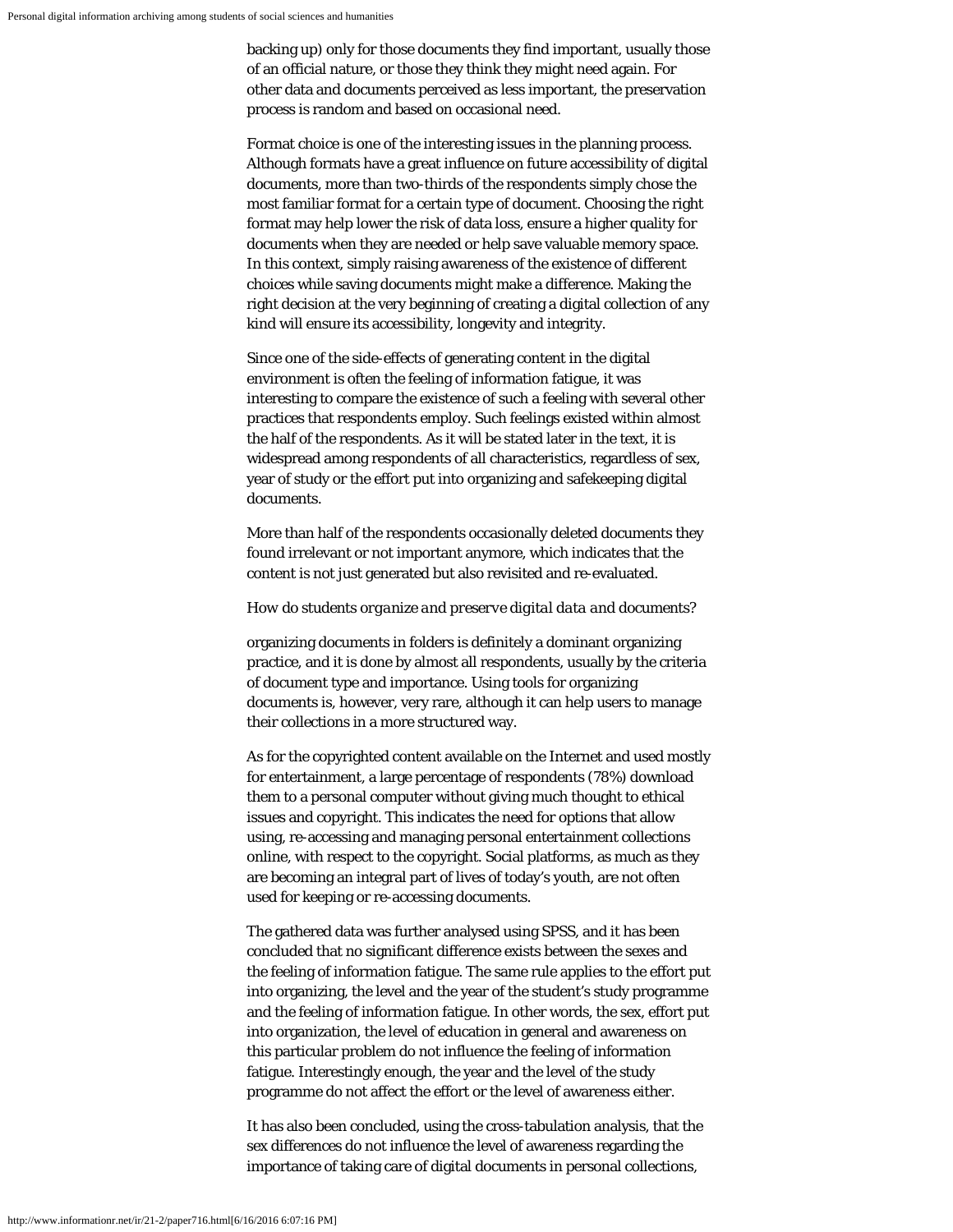backing up) only for those documents they find important, usually those of an official nature, or those they think they might need again. For other data and documents perceived as less important, the preservation process is random and based on occasional need.

Format choice is one of the interesting issues in the planning process. Although formats have a great influence on future accessibility of digital documents, more than two-thirds of the respondents simply chose the most familiar format for a certain type of document. Choosing the right format may help lower the risk of data loss, ensure a higher quality for documents when they are needed or help save valuable memory space. In this context, simply raising awareness of the existence of different choices while saving documents might make a difference. Making the right decision at the very beginning of creating a digital collection of any kind will ensure its accessibility, longevity and integrity.

Since one of the side-effects of generating content in the digital environment is often the feeling of information fatigue, it was interesting to compare the existence of such a feeling with several other practices that respondents employ. Such feelings existed within almost the half of the respondents. As it will be stated later in the text, it is widespread among respondents of all characteristics, regardless of sex, year of study or the effort put into organizing and safekeeping digital documents.

More than half of the respondents occasionally deleted documents they found irrelevant or not important anymore, which indicates that the content is not just generated but also revisited and re-evaluated.

#### *How do students organize and preserve digital data and documents?*

organizing documents in folders is definitely a dominant organizing practice, and it is done by almost all respondents, usually by the criteria of document type and importance. Using tools for organizing documents is, however, very rare, although it can help users to manage their collections in a more structured way.

As for the copyrighted content available on the Internet and used mostly for entertainment, a large percentage of respondents (78%) download them to a personal computer without giving much thought to ethical issues and copyright. This indicates the need for options that allow using, re-accessing and managing personal entertainment collections online, with respect to the copyright. Social platforms, as much as they are becoming an integral part of lives of today's youth, are not often used for keeping or re-accessing documents.

The gathered data was further analysed using SPSS, and it has been concluded that no significant difference exists between the sexes and the feeling of information fatigue. The same rule applies to the effort put into organizing, the level and the year of the student's study programme and the feeling of information fatigue. In other words, the sex, effort put into organization, the level of education in general and awareness on this particular problem do not influence the feeling of information fatigue. Interestingly enough, the year and the level of the study programme do not affect the effort or the level of awareness either.

It has also been concluded, using the cross-tabulation analysis, that the sex differences do not influence the level of awareness regarding the importance of taking care of digital documents in personal collections,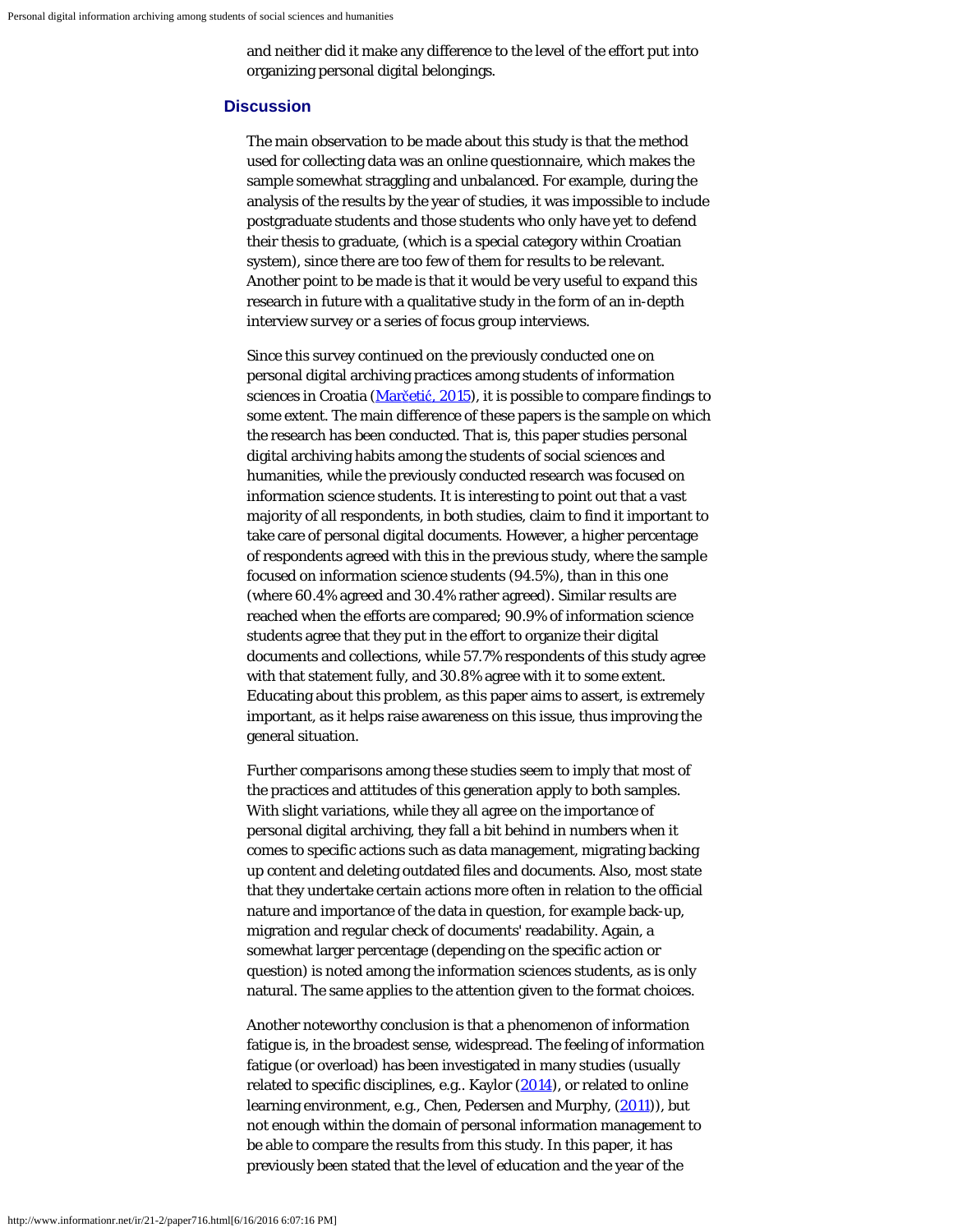and neither did it make any difference to the level of the effort put into organizing personal digital belongings.

#### **Discussion**

The main observation to be made about this study is that the method used for collecting data was an online questionnaire, which makes the sample somewhat straggling and unbalanced. For example, during the analysis of the results by the year of studies, it was impossible to include postgraduate students and those students who only have yet to defend their thesis to graduate, (which is a special category within Croatian system), since there are too few of them for results to be relevant. Another point to be made is that it would be very useful to expand this research in future with a qualitative study in the form of an in-depth interview survey or a series of focus group interviews.

Since this survey continued on the previously conducted one on personal digital archiving practices among students of information sciences in Croatia [\(Mar](#page-18-0)[č](#page-18-0)[eti](#page-18-0)[ć](#page-18-0)[, 2015](#page-18-0)), it is possible to compare findings to some extent. The main difference of these papers is the sample on which the research has been conducted. That is, this paper studies personal digital archiving habits among the students of social sciences and humanities, while the previously conducted research was focused on information science students. It is interesting to point out that a vast majority of all respondents, in both studies, claim to find it important to take care of personal digital documents. However, a higher percentage of respondents agreed with this in the previous study, where the sample focused on information science students (94.5%), than in this one (where 60.4% agreed and 30.4% rather agreed). Similar results are reached when the efforts are compared; 90.9% of information science students agree that they put in the effort to organize their digital documents and collections, while 57.7% respondents of this study agree with that statement fully, and 30.8% agree with it to some extent. Educating about this problem, as this paper aims to assert, is extremely important, as it helps raise awareness on this issue, thus improving the general situation.

Further comparisons among these studies seem to imply that most of the practices and attitudes of this generation apply to both samples. With slight variations, while they all agree on the importance of personal digital archiving, they fall a bit behind in numbers when it comes to specific actions such as data management, migrating backing up content and deleting outdated files and documents. Also, most state that they undertake certain actions more often in relation to the official nature and importance of the data in question, for example back-up, migration and regular check of documents' readability. Again, a somewhat larger percentage (depending on the specific action or question) is noted among the information sciences students, as is only natural. The same applies to the attention given to the format choices.

Another noteworthy conclusion is that a phenomenon of information fatigue is, in the broadest sense, widespread. The feeling of information fatigue (or overload) has been investigated in many studies (usually related to specific disciplines, e.g.. Kaylor [\(2014](#page-18-0)), or related to online learning environment, e.g., Chen, Pedersen and Murphy, [\(2011](#page-18-0))), but not enough within the domain of personal information management to be able to compare the results from this study. In this paper, it has previously been stated that the level of education and the year of the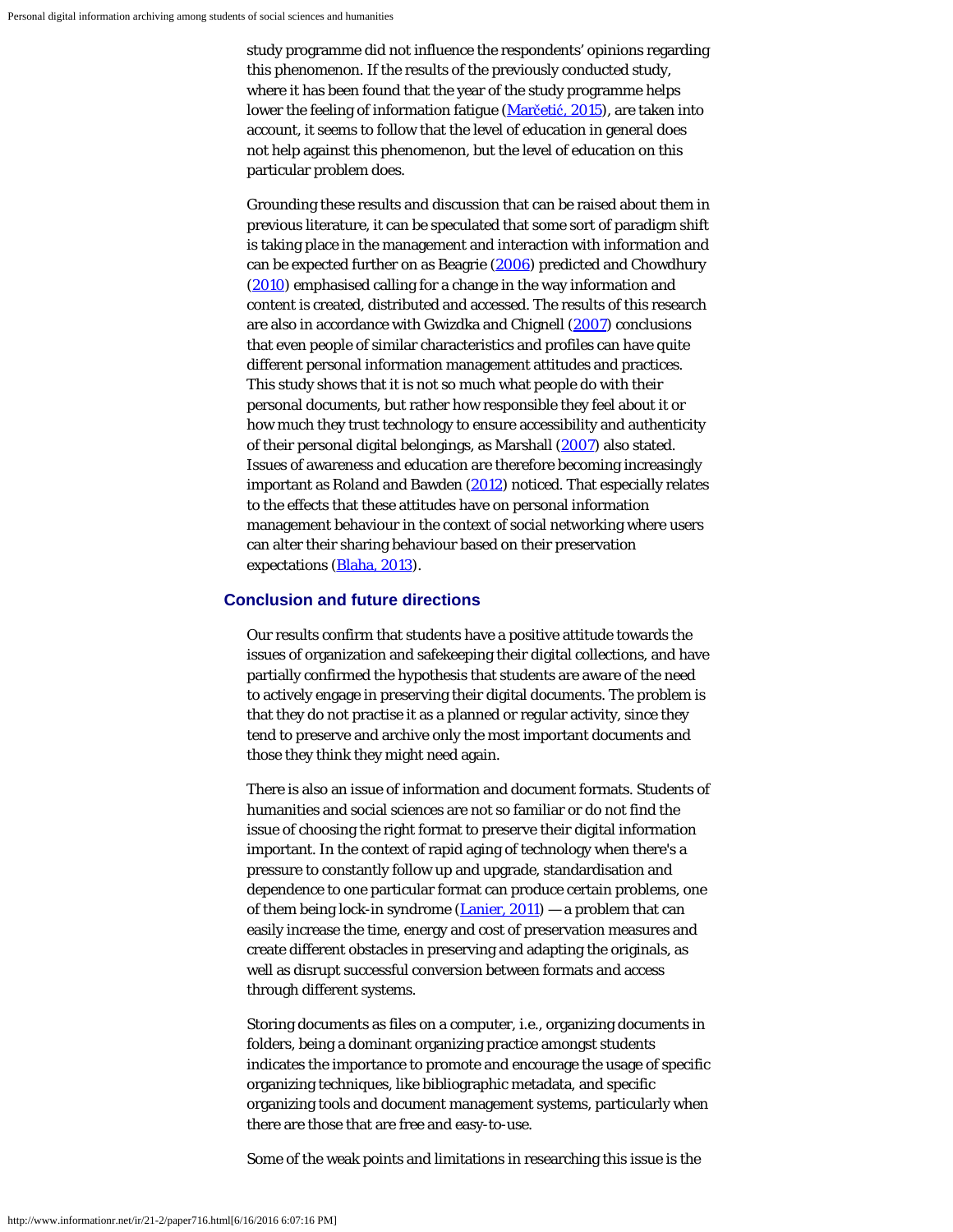study programme did not influence the respondents' opinions regarding this phenomenon. If the results of the previously conducted study, where it has been found that the year of the study programme helps lower the feeling of information fatigue [\(Mar](#page-18-0)[č](#page-18-0)[eti](#page-18-0)[ć](#page-18-0)[, 2015](#page-18-0)), are taken into account, it seems to follow that the level of education in general does not help against this phenomenon, but the level of education on this particular problem does.

Grounding these results and discussion that can be raised about them in previous literature, it can be speculated that some sort of paradigm shift is taking place in the management and interaction with information and can be expected further on as Beagrie [\(2006](#page-18-0)) predicted and Chowdhury [\(2010](#page-18-0)) emphasised calling for a change in the way information and content is created, distributed and accessed. The results of this research are also in accordance with Gwizdka and Chignell [\(2007](#page-18-0)) conclusions that even people of similar characteristics and profiles can have quite different personal information management attitudes and practices. This study shows that it is not so much what people do with their personal documents, but rather how responsible they feel about it or how much they trust technology to ensure accessibility and authenticity of their personal digital belongings, as Marshall [\(2007](#page-18-0)) also stated. Issues of awareness and education are therefore becoming increasingly important as Roland and Bawden [\(2012](#page-18-10)) noticed. That especially relates to the effects that these attitudes have on personal information management behaviour in the context of social networking where users can alter their sharing behaviour based on their preservation expectations [\(Blaha, 2013\)](#page-18-0).

## **Conclusion and future directions**

Our results confirm that students have a positive attitude towards the issues of organization and safekeeping their digital collections, and have partially confirmed the hypothesis that students are aware of the need to actively engage in preserving their digital documents. The problem is that they do not practise it as a planned or regular activity, since they tend to preserve and archive only the most important documents and those they think they might need again.

There is also an issue of information and document formats. Students of humanities and social sciences are not so familiar or do not find the issue of choosing the right format to preserve their digital information important. In the context of rapid aging of technology when there's a pressure to constantly follow up and upgrade, standardisation and dependence to one particular format can produce certain problems, one of them being lock-in syndrome  $(Lanier, 2011)$  $(Lanier, 2011)$  — a problem that can easily increase the time, energy and cost of preservation measures and create different obstacles in preserving and adapting the originals, as well as disrupt successful conversion between formats and access through different systems.

Storing documents as files on a computer, i.e., organizing documents in folders, being a dominant organizing practice amongst students indicates the importance to promote and encourage the usage of specific organizing techniques, like bibliographic metadata, and specific organizing tools and document management systems, particularly when there are those that are free and easy-to-use.

Some of the weak points and limitations in researching this issue is the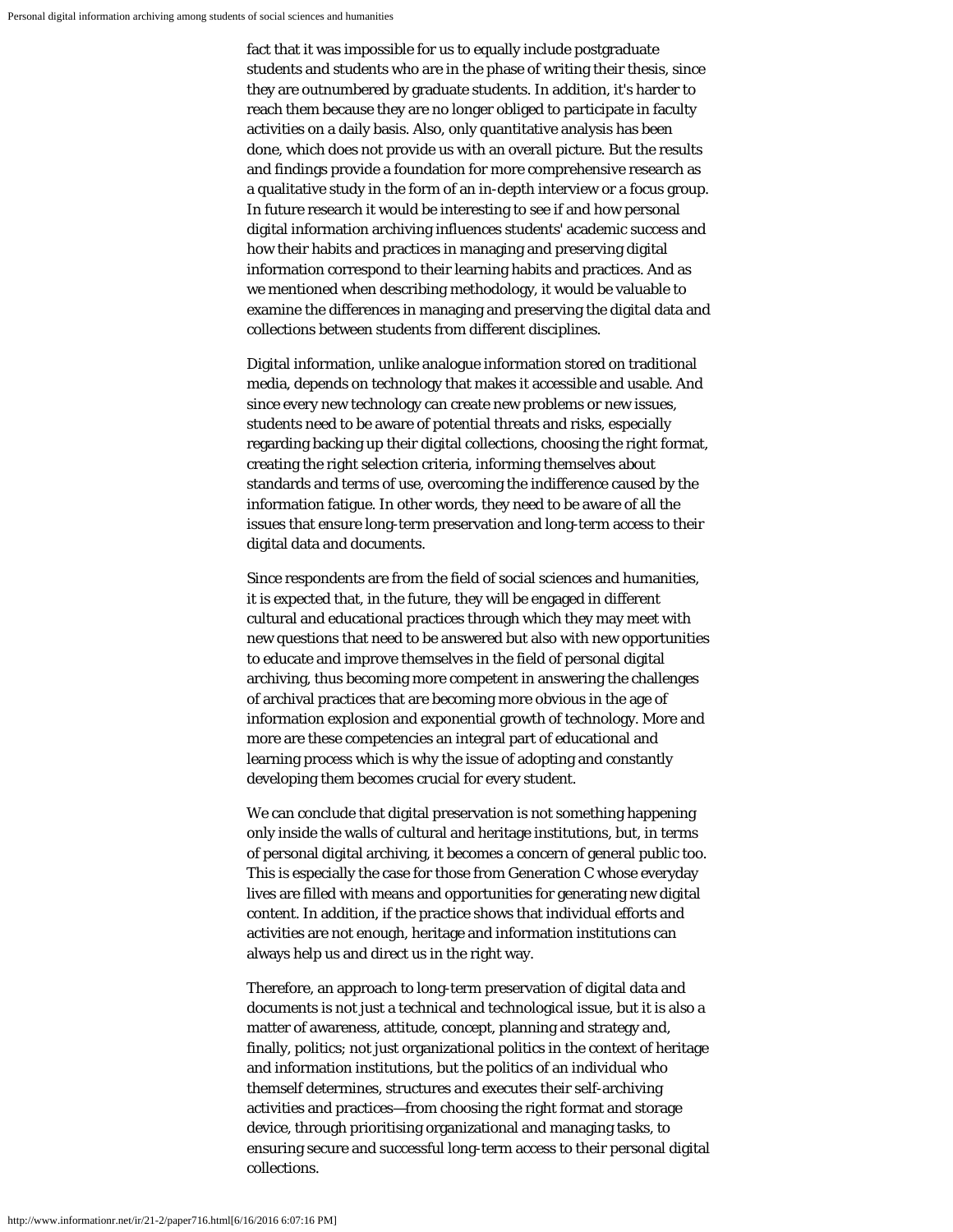fact that it was impossible for us to equally include postgraduate students and students who are in the phase of writing their thesis, since they are outnumbered by graduate students. In addition, it's harder to reach them because they are no longer obliged to participate in faculty activities on a daily basis. Also, only quantitative analysis has been done, which does not provide us with an overall picture. But the results and findings provide a foundation for more comprehensive research as a qualitative study in the form of an in-depth interview or a focus group. In future research it would be interesting to see if and how personal digital information archiving influences students' academic success and how their habits and practices in managing and preserving digital information correspond to their learning habits and practices. And as we mentioned when describing methodology, it would be valuable to examine the differences in managing and preserving the digital data and collections between students from different disciplines.

Digital information, unlike analogue information stored on traditional media, depends on technology that makes it accessible and usable. And since every new technology can create new problems or new issues, students need to be aware of potential threats and risks, especially regarding backing up their digital collections, choosing the right format, creating the right selection criteria, informing themselves about standards and terms of use, overcoming the indifference caused by the information fatigue. In other words, they need to be aware of all the issues that ensure long-term preservation and long-term access to their digital data and documents.

Since respondents are from the field of social sciences and humanities, it is expected that, in the future, they will be engaged in different cultural and educational practices through which they may meet with new questions that need to be answered but also with new opportunities to educate and improve themselves in the field of personal digital archiving, thus becoming more competent in answering the challenges of archival practices that are becoming more obvious in the age of information explosion and exponential growth of technology. More and more are these competencies an integral part of educational and learning process which is why the issue of adopting and constantly developing them becomes crucial for every student.

We can conclude that digital preservation is not something happening only inside the walls of cultural and heritage institutions, but, in terms of personal digital archiving, it becomes a concern of general public too. This is especially the case for those from Generation C whose everyday lives are filled with means and opportunities for generating new digital content. In addition, if the practice shows that individual efforts and activities are not enough, heritage and information institutions can always help us and direct us in the right way.

Therefore, an approach to long-term preservation of digital data and documents is not just a technical and technological issue, but it is also a matter of awareness, attitude, concept, planning and strategy and, finally, politics; not just organizational politics in the context of heritage and information institutions, but the politics of an individual who themself determines, structures and executes their self-archiving activities and practices—from choosing the right format and storage device, through prioritising organizational and managing tasks, to ensuring secure and successful long-term access to their personal digital collections.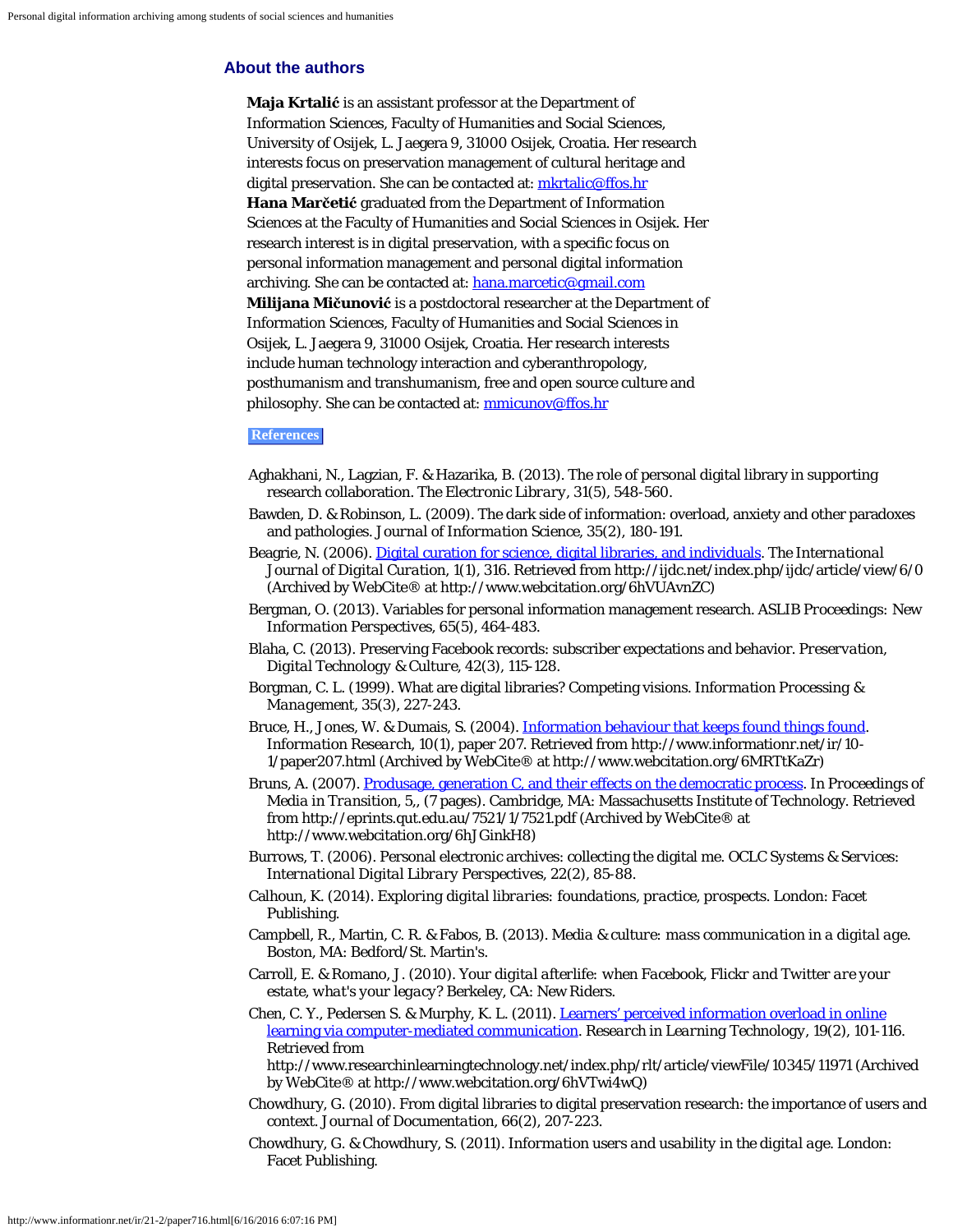## <span id="page-16-0"></span>**About the authors**

**Maja Krtalić** is an assistant professor at the Department of Information Sciences, Faculty of Humanities and Social Sciences, University of Osijek, L. Jaegera 9, 31000 Osijek, Croatia. Her research interests focus on preservation management of cultural heritage and digital preservation. She can be contacted at: [mkrtalic@ffos.hr](mailto:mkrtalic@ffos.hr) **Hana Marčetić** graduated from the Department of Information Sciences at the Faculty of Humanities and Social Sciences in Osijek. Her research interest is in digital preservation, with a specific focus on personal information management and personal digital information archiving. She can be contacted at: [hana.marcetic@gmail.com](mailto:hana.marcetic@gmail.com) **Milijana Mičunović** is a postdoctoral researcher at the Department of Information Sciences, Faculty of Humanities and Social Sciences in Osijek, L. Jaegera 9, 31000 Osijek, Croatia. Her research interests include human technology interaction and cyberanthropology, posthumanism and transhumanism, free and open source culture and philosophy. She can be contacted at: [mmicunov@ffos.hr](mailto:mmicunov@ffos.hr)

## **References**

- Aghakhani, N., Lagzian, F. & Hazarika, B. (2013). The role of personal digital library in supporting research collaboration. *The Electronic Library, 31*(5), 548-560.
- Bawden, D. & Robinson, L. (2009). The dark side of information: overload, anxiety and other paradoxes and pathologies. *Journal of Information Science, 35*(2), 180-191.
- Beagrie, N. (2006). [Digital curation for science, digital libraries, and individuals](http://www.webcitation.org/6hVUAvnZC). *The International Journal of Digital Curation, 1*(1), 316. Retrieved from http://ijdc.net/index.php/ijdc/article/view/6/0 (Archived by WebCite® at http://www.webcitation.org/6hVUAvnZC)
- Bergman, O. (2013). Variables for personal information management research. *ASLIB Proceedings: New Information Perspectives, 65*(5), 464-483.
- Blaha, C. (2013). Preserving Facebook records: subscriber expectations and behavior. *Preservation, Digital Technology & Culture, 42*(3), 115-128.
- Borgman, C. L. (1999). What are digital libraries? Competing visions. *Information Processing & Management, 35*(3), 227-243.
- Bruce, H., Jones, W. & Dumais, S. (2004). [Information behaviour that keeps found things found](http://www.webcitation.org/6MRTtKaZr). *Information Research, 10*(1), paper 207. Retrieved from http://www.informationr.net/ir/10- 1/paper207.html (Archived by WebCite® at http://www.webcitation.org/6MRTtKaZr)
- Bruns, A. (2007). [Produsage, generation C, and their effects on the democratic process](http://www.webcitation.org/6hJGinkH8). In *Proceedings of Media in Transition, 5,*, (7 pages). Cambridge, MA: Massachusetts Institute of Technology. Retrieved from http://eprints.qut.edu.au/7521/1/7521.pdf (Archived by WebCite® at http://www.webcitation.org/6hJGinkH8)
- Burrows, T. (2006). Personal electronic archives: collecting the digital me. *OCLC Systems & Services: International Digital Library Perspectives, 22*(2), 85-88.
- Calhoun, K. (2014). *Exploring digital libraries: foundations, practice, prospects*. London: Facet Publishing.
- Campbell, R., Martin, C. R. & Fabos, B. (2013). *Media & culture: mass communication in a digital age*. Boston, MA: Bedford/St. Martin's.
- Carroll, E. & Romano, J. (2010). *Your digital afterlife: when Facebook, Flickr and Twitter are your estate, what's your legacy?* Berkeley, CA: New Riders.
- Chen, C. Y., Pedersen S. & Murphy, K. L. (2011). [Learners' perceived information overload in online](http://www.webcitation.org/6hVTwi4wQ) [learning via computer-mediated communication](http://www.webcitation.org/6hVTwi4wQ). *Research in Learning Technology, 19*(2), 101-116. Retrieved from

http://www.researchinlearningtechnology.net/index.php/rlt/article/viewFile/10345/11971 (Archived by WebCite® at http://www.webcitation.org/6hVTwi4wQ)

- Chowdhury, G. (2010). From digital libraries to digital preservation research: the importance of users and context. *Journal of Documentation, 66*(2), 207-223.
- Chowdhury, G. & Chowdhury, S. (2011). *Information users and usability in the digital age*. London: Facet Publishing.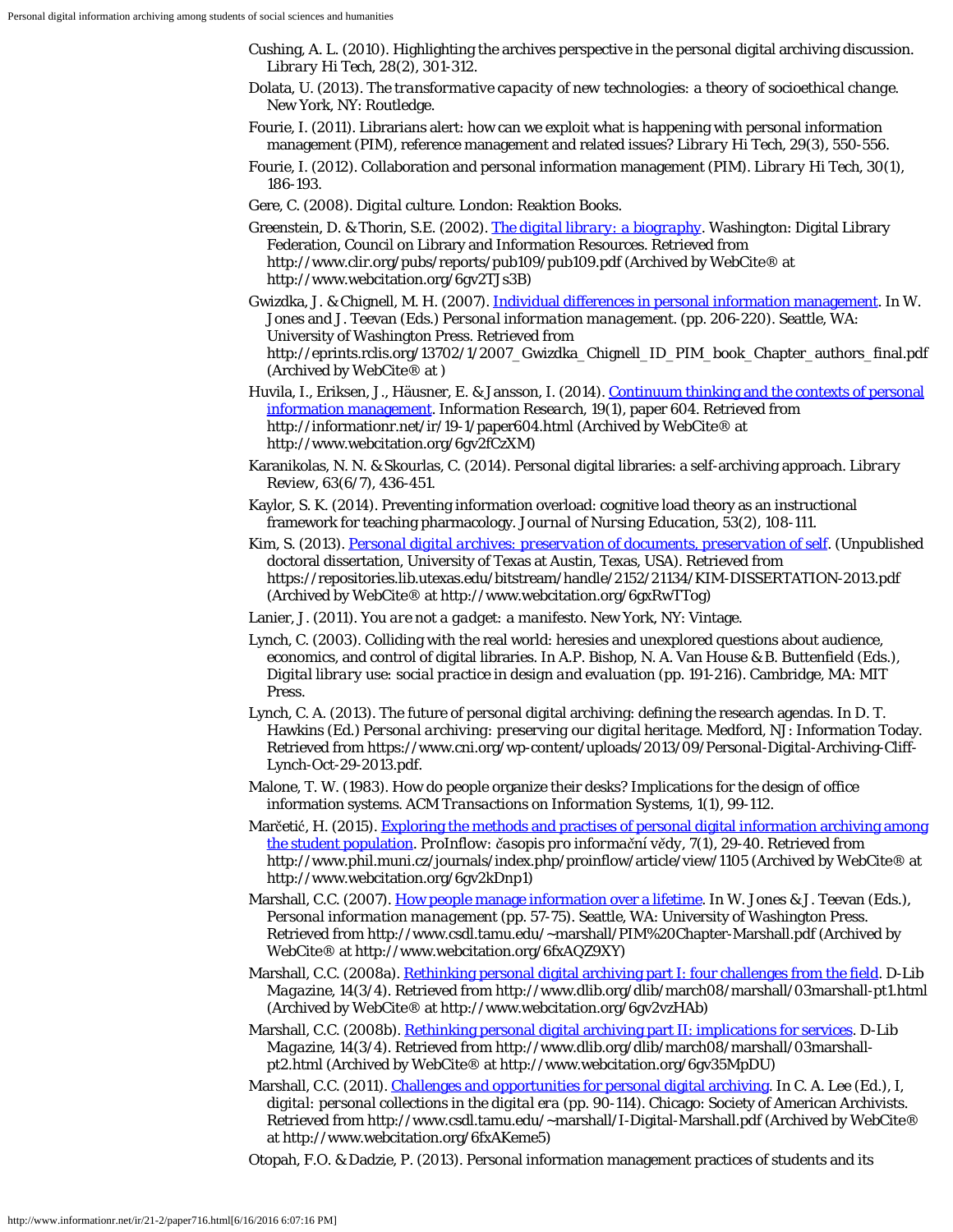- Cushing, A. L. (2010). Highlighting the archives perspective in the personal digital archiving discussion. *Library Hi Tech, 28*(2), 301-312.
- Dolata, U. (2013). *The transformative capacity of new technologies: a theory of socioethical change*. New York, NY: Routledge.
- Fourie, I. (2011). Librarians alert: how can we exploit what is happening with personal information management (PIM), reference management and related issues? *Library Hi Tech, 29*(3), 550-556.
- Fourie, I. (2012). Collaboration and personal information management (PIM). *Library Hi Tech, 30*(1), 186-193.
- Gere, C. (2008). *Digital culture*. London: Reaktion Books.
- Greenstein, D. & Thorin, S.E. (2002). *[The digital library: a biography](http://www.webcitation.org/6gv2TJs3B)*. Washington: Digital Library Federation, Council on Library and Information Resources. Retrieved from http://www.clir.org/pubs/reports/pub109/pub109.pdf (Archived by WebCite® at http://www.webcitation.org/6gv2TJs3B)
- Gwizdka, J. & Chignell, M. H. (2007). [Individual differences in personal information management](http://www.webcitation.org/6gv2c7ONe). In W. Jones and J. Teevan (Eds.) *Personal information management*. (pp. 206-220). Seattle, WA: University of Washington Press. Retrieved from http://eprints.rclis.org/13702/1/2007\_Gwizdka\_Chignell\_ID\_PIM\_book\_Chapter\_authors\_final.pdf (Archived by WebCite® at )
- Huvila, I., Eriksen, J., Häusner, E. & Jansson, I. (2014). [Continuum thinking and the contexts of personal](http://www.webcitation.org/6gv2fCzXM) [information management](http://www.webcitation.org/6gv2fCzXM). *Information Research, 19*(1), paper 604. Retrieved from http://informationr.net/ir/19-1/paper604.html (Archived by WebCite® at http://www.webcitation.org/6gv2fCzXM)
- Karanikolas, N. N. & Skourlas, C. (2014). Personal digital libraries: a self-archiving approach. *Library Review, 63*(6/7), 436-451.
- Kaylor, S. K. (2014). Preventing information overload: cognitive load theory as an instructional framework for teaching pharmacology. *Journal of Nursing Education, 53*(2), 108-111.
- Kim, S. (2013). *[Personal digital archives: preservation of documents, preservation of self](http://www.webcitation.org/6gxRwTTog)*. (Unpublished doctoral dissertation, University of Texas at Austin, Texas, USA). Retrieved from https://repositories.lib.utexas.edu/bitstream/handle/2152/21134/KIM-DISSERTATION-2013.pdf (Archived by WebCite® at http://www.webcitation.org/6gxRwTTog)
- Lanier, J. (2011). *You are not a gadget: a manifesto*. New York, NY: Vintage.
- Lynch, C. (2003). Colliding with the real world: heresies and unexplored questions about audience, economics, and control of digital libraries. In A.P. Bishop, N. A. Van House & B. Buttenfield (Eds.), *Digital library use: social practice in design and evaluation* (pp. 191-216). Cambridge, MA: MIT Press.
- Lynch, C. A. (2013). The future of personal digital archiving: defining the research agendas. In D. T. Hawkins (Ed.) *Personal archiving: preserving our digital heritage*. Medford, NJ: Information Today. Retrieved from https://www.cni.org/wp-content/uploads/2013/09/Personal-Digital-Archiving-Cliff-Lynch-Oct-29-2013.pdf.
- Malone, T. W. (1983). How do people organize their desks? Implications for the design of office information systems. *ACM Transactions on Information Systems, 1*(1), 99-112.
- Marčetić, H. (2015). [Exploring the methods and practises of personal digital information archiving among](http://www.webcitation.org/6gv2kDnp1) [the student population](http://www.webcitation.org/6gv2kDnp1). *ProInflow: časopis pro informační vědy, 7*(1), 29-40. Retrieved from http://www.phil.muni.cz/journals/index.php/proinflow/article/view/1105 (Archived by WebCite® at http://www.webcitation.org/6gv2kDnp1)
- Marshall, C.C. (2007). [How people manage information over a lifetime](http://www.webcitation.org/6fxAQZ9XY). In W. Jones & J. Teevan (Eds.), *Personal information management* (pp. 57-75). Seattle, WA: University of Washington Press. Retrieved from http://www.csdl.tamu.edu/~marshall/PIM%20Chapter-Marshall.pdf (Archived by WebCite® at http://www.webcitation.org/6fxAQZ9XY)
- Marshall, C.C. (2008a). [Rethinking personal digital archiving part I: four challenges from the field](http://www.webcitation.org/6gv2vzHAb). *D-Lib Magazine, 14*(3/4). Retrieved from http://www.dlib.org/dlib/march08/marshall/03marshall-pt1.html (Archived by WebCite® at http://www.webcitation.org/6gv2vzHAb)
- Marshall, C.C. (2008b). [Rethinking personal digital archiving part II: implications for services.](http://www.webcitation.org/6gv35MpDU) *D-Lib Magazine, 14*(3/4). Retrieved from http://www.dlib.org/dlib/march08/marshall/03marshallpt2.html (Archived by WebCite® at http://www.webcitation.org/6gv35MpDU)
- Marshall, C.C. (2011). [Challenges and opportunities for personal digital archiving](http://www.webcitation.org/6fxAKeme5). In C. A. Lee (Ed.), *I, digital: personal collections in the digital era* (pp. 90-114). Chicago: Society of American Archivists. Retrieved from http://www.csdl.tamu.edu/~marshall/I-Digital-Marshall.pdf (Archived by WebCite® at http://www.webcitation.org/6fxAKeme5)

Otopah, F.O. & Dadzie, P. (2013). Personal information management practices of students and its